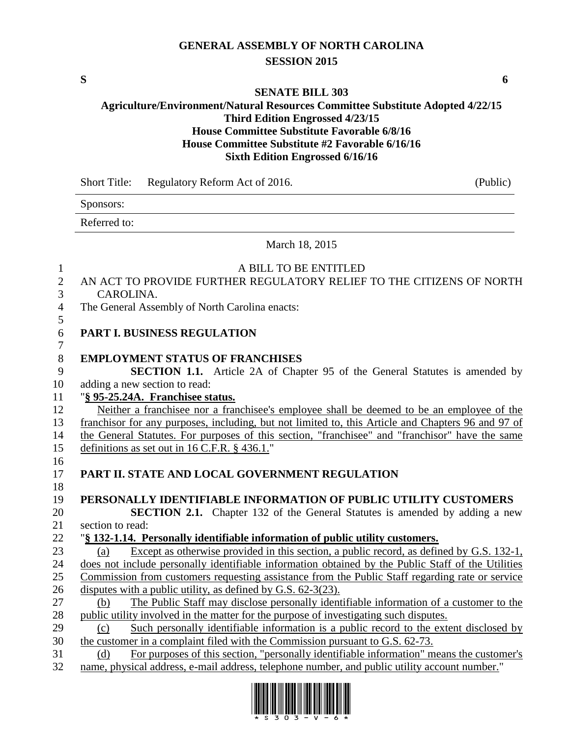# **GENERAL ASSEMBLY OF NORTH CAROLINA SESSION 2015**

**S 6**

#### **SENATE BILL 303**

## **Agriculture/Environment/Natural Resources Committee Substitute Adopted 4/22/15 Third Edition Engrossed 4/23/15 House Committee Substitute Favorable 6/8/16 House Committee Substitute #2 Favorable 6/16/16 Sixth Edition Engrossed 6/16/16**

Sponsors: Referred to: March 18, 2015 A BILL TO BE ENTITLED AN ACT TO PROVIDE FURTHER REGULATORY RELIEF TO THE CITIZENS OF NORTH CAROLINA. The General Assembly of North Carolina enacts: **PART I. BUSINESS REGULATION EMPLOYMENT STATUS OF FRANCHISES SECTION 1.1.** Article 2A of Chapter 95 of the General Statutes is amended by adding a new section to read: "**§ 95-25.24A. Franchisee status.** Neither a franchisee nor a franchisee's employee shall be deemed to be an employee of the franchisor for any purposes, including, but not limited to, this Article and Chapters 96 and 97 of the General Statutes. For purposes of this section, "franchisee" and "franchisor" have the same definitions as set out in 16 C.F.R. § 436.1." **PART II. STATE AND LOCAL GOVERNMENT REGULATION PERSONALLY IDENTIFIABLE INFORMATION OF PUBLIC UTILITY CUSTOMERS SECTION 2.1.** Chapter 132 of the General Statutes is amended by adding a new section to read: "**§ 132-1.14. Personally identifiable information of public utility customers.** (a) Except as otherwise provided in this section, a public record, as defined by G.S. 132-1, does not include personally identifiable information obtained by the Public Staff of the Utilities Commission from customers requesting assistance from the Public Staff regarding rate or service disputes with a public utility, as defined by G.S. 62-3(23). (b) The Public Staff may disclose personally identifiable information of a customer to the public utility involved in the matter for the purpose of investigating such disputes. (c) Such personally identifiable information is a public record to the extent disclosed by the customer in a complaint filed with the Commission pursuant to G.S. 62-73. (d) For purposes of this section, "personally identifiable information" means the customer's name, physical address, e-mail address, telephone number, and public utility account number."



Short Title: Regulatory Reform Act of 2016. (Public)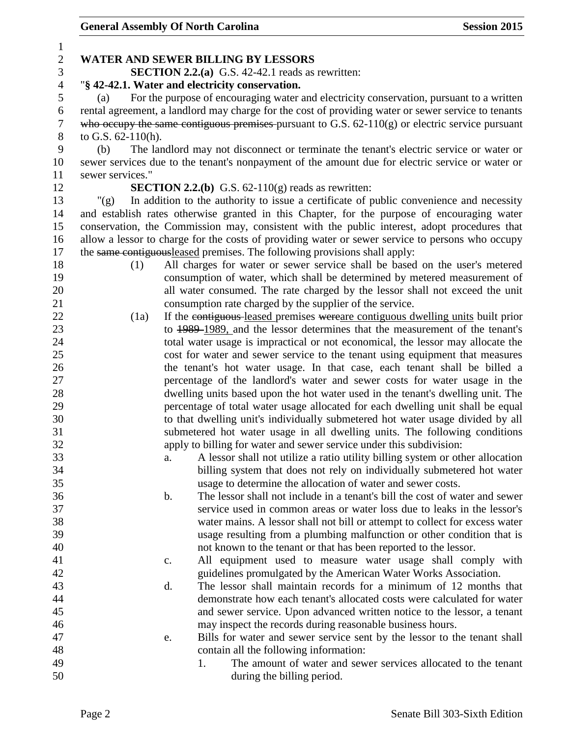| 1              |                                                                                                  |                |                                                                                                     |  |  |
|----------------|--------------------------------------------------------------------------------------------------|----------------|-----------------------------------------------------------------------------------------------------|--|--|
| $\mathbf{2}$   |                                                                                                  |                | <b>WATER AND SEWER BILLING BY LESSORS</b>                                                           |  |  |
| 3              |                                                                                                  |                | <b>SECTION 2.2.(a)</b> G.S. $42-42.1$ reads as rewritten:                                           |  |  |
| $\overline{4}$ |                                                                                                  |                | "§ 42-42.1. Water and electricity conservation.                                                     |  |  |
| 5              | (a)                                                                                              |                | For the purpose of encouraging water and electricity conservation, pursuant to a written            |  |  |
| 6              |                                                                                                  |                | rental agreement, a landlord may charge for the cost of providing water or sewer service to tenants |  |  |
| 7              |                                                                                                  |                | who occupy the same contiguous premises pursuant to G.S. $62-110(g)$ or electric service pursuant   |  |  |
| 8              | to G.S. 62-110(h).                                                                               |                |                                                                                                     |  |  |
| 9              | The landlord may not disconnect or terminate the tenant's electric service or water or<br>(b)    |                |                                                                                                     |  |  |
| 10             | sewer services due to the tenant's nonpayment of the amount due for electric service or water or |                |                                                                                                     |  |  |
| 11             | sewer services."                                                                                 |                |                                                                                                     |  |  |
| 12             |                                                                                                  |                | <b>SECTION 2.2.(b)</b> G.S. $62-110(g)$ reads as rewritten:                                         |  |  |
| 13             | " $(g)$                                                                                          |                | In addition to the authority to issue a certificate of public convenience and necessity             |  |  |
| 14             |                                                                                                  |                | and establish rates otherwise granted in this Chapter, for the purpose of encouraging water         |  |  |
| 15             |                                                                                                  |                | conservation, the Commission may, consistent with the public interest, adopt procedures that        |  |  |
| 16             |                                                                                                  |                | allow a lessor to charge for the costs of providing water or sewer service to persons who occupy    |  |  |
| 17             |                                                                                                  |                | the same contiguous leased premises. The following provisions shall apply:                          |  |  |
| 18             | (1)                                                                                              |                | All charges for water or sewer service shall be based on the user's metered                         |  |  |
| 19             |                                                                                                  |                | consumption of water, which shall be determined by metered measurement of                           |  |  |
| 20             |                                                                                                  |                | all water consumed. The rate charged by the lessor shall not exceed the unit                        |  |  |
| 21             |                                                                                                  |                | consumption rate charged by the supplier of the service.                                            |  |  |
| 22             | (1a)                                                                                             |                | If the contiguous-leased premises wereare contiguous dwelling units built prior                     |  |  |
| 23             |                                                                                                  |                | to 1989–1989, and the lessor determines that the measurement of the tenant's                        |  |  |
| 24             |                                                                                                  |                | total water usage is impractical or not economical, the lessor may allocate the                     |  |  |
| 25             |                                                                                                  |                | cost for water and sewer service to the tenant using equipment that measures                        |  |  |
| 26             |                                                                                                  |                | the tenant's hot water usage. In that case, each tenant shall be billed a                           |  |  |
| 27             |                                                                                                  |                | percentage of the landlord's water and sewer costs for water usage in the                           |  |  |
| 28             |                                                                                                  |                |                                                                                                     |  |  |
| 29             |                                                                                                  |                | dwelling units based upon the hot water used in the tenant's dwelling unit. The                     |  |  |
| 30             |                                                                                                  |                | percentage of total water usage allocated for each dwelling unit shall be equal                     |  |  |
| 31             |                                                                                                  |                | to that dwelling unit's individually submetered hot water usage divided by all                      |  |  |
| 32             |                                                                                                  |                | submetered hot water usage in all dwelling units. The following conditions                          |  |  |
|                |                                                                                                  |                | apply to billing for water and sewer service under this subdivision:                                |  |  |
| 33             |                                                                                                  | a.             | A lessor shall not utilize a ratio utility billing system or other allocation                       |  |  |
| 34             |                                                                                                  |                | billing system that does not rely on individually submetered hot water                              |  |  |
| 35             |                                                                                                  |                | usage to determine the allocation of water and sewer costs.                                         |  |  |
| 36             |                                                                                                  | $\mathbf b$ .  | The lessor shall not include in a tenant's bill the cost of water and sewer                         |  |  |
| 37             |                                                                                                  |                | service used in common areas or water loss due to leaks in the lessor's                             |  |  |
| 38             |                                                                                                  |                | water mains. A lessor shall not bill or attempt to collect for excess water                         |  |  |
| 39             |                                                                                                  |                | usage resulting from a plumbing malfunction or other condition that is                              |  |  |
| 40             |                                                                                                  |                | not known to the tenant or that has been reported to the lessor.                                    |  |  |
| 41             |                                                                                                  | $\mathbf{c}$ . | All equipment used to measure water usage shall comply with                                         |  |  |
| 42             |                                                                                                  |                | guidelines promulgated by the American Water Works Association.                                     |  |  |
| 43             |                                                                                                  | d.             | The lessor shall maintain records for a minimum of 12 months that                                   |  |  |
| 44             |                                                                                                  |                | demonstrate how each tenant's allocated costs were calculated for water                             |  |  |
| 45             |                                                                                                  |                | and sewer service. Upon advanced written notice to the lessor, a tenant                             |  |  |
| 46             |                                                                                                  |                | may inspect the records during reasonable business hours.                                           |  |  |
| 47             |                                                                                                  | e.             | Bills for water and sewer service sent by the lessor to the tenant shall                            |  |  |
| 48             |                                                                                                  |                | contain all the following information:                                                              |  |  |
| 49             |                                                                                                  |                | The amount of water and sewer services allocated to the tenant<br>1.                                |  |  |
| 50             |                                                                                                  |                | during the billing period.                                                                          |  |  |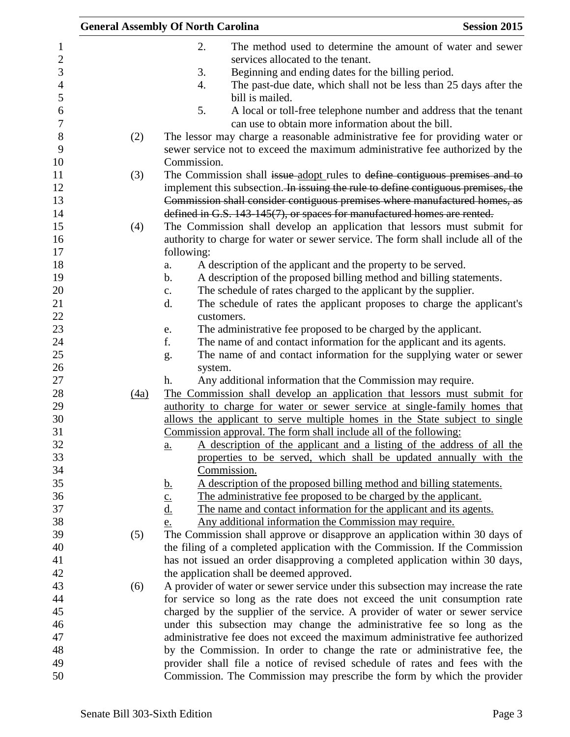|                |      | <b>General Assembly Of North Carolina</b>                                                                                             | <b>Session 2015</b> |
|----------------|------|---------------------------------------------------------------------------------------------------------------------------------------|---------------------|
| $\mathbf 1$    |      | 2.<br>The method used to determine the amount of water and sewer                                                                      |                     |
| $\overline{2}$ |      | services allocated to the tenant.                                                                                                     |                     |
| 3              |      | 3.<br>Beginning and ending dates for the billing period.                                                                              |                     |
| $\overline{4}$ |      | The past-due date, which shall not be less than 25 days after the<br>4.                                                               |                     |
| 5              |      | bill is mailed.                                                                                                                       |                     |
| 6<br>$\tau$    |      | 5.<br>A local or toll-free telephone number and address that the tenant<br>can use to obtain more information about the bill.         |                     |
| 8              | (2)  | The lessor may charge a reasonable administrative fee for providing water or                                                          |                     |
| 9<br>10        |      | sewer service not to exceed the maximum administrative fee authorized by the<br>Commission.                                           |                     |
| 11             | (3)  | The Commission shall issue-adopt rules to define contiguous premises and to                                                           |                     |
| 12             |      | implement this subsection. In issuing the rule to define contiguous premises, the                                                     |                     |
| 13             |      | Commission shall consider contiguous premises where manufactured homes, as                                                            |                     |
| 14             |      | defined in G.S. 143-145(7), or spaces for manufactured homes are rented.                                                              |                     |
| 15             | (4)  | The Commission shall develop an application that lessors must submit for                                                              |                     |
| 16             |      | authority to charge for water or sewer service. The form shall include all of the                                                     |                     |
| 17             |      | following:                                                                                                                            |                     |
| 18             |      | A description of the applicant and the property to be served.<br>a.                                                                   |                     |
| 19             |      | A description of the proposed billing method and billing statements.<br>b.                                                            |                     |
| 20             |      | The schedule of rates charged to the applicant by the supplier.<br>c.                                                                 |                     |
| 21             |      | The schedule of rates the applicant proposes to charge the applicant's<br>d.                                                          |                     |
| 22             |      | customers.                                                                                                                            |                     |
| 23             |      | The administrative fee proposed to be charged by the applicant.<br>e.                                                                 |                     |
| 24             |      | f.<br>The name of and contact information for the applicant and its agents.                                                           |                     |
| 25             |      | The name of and contact information for the supplying water or sewer<br>g.                                                            |                     |
| 26             |      | system.                                                                                                                               |                     |
| 27             |      | Any additional information that the Commission may require.<br>h.                                                                     |                     |
| 28             | (4a) | The Commission shall develop an application that lessors must submit for                                                              |                     |
| 29             |      | authority to charge for water or sewer service at single-family homes that                                                            |                     |
| 30             |      | allows the applicant to serve multiple homes in the State subject to single                                                           |                     |
| 31             |      | Commission approval. The form shall include all of the following:                                                                     |                     |
| 32             |      | A description of the applicant and a listing of the address of all the<br>a.                                                          |                     |
| 33             |      | properties to be served, which shall be updated annually with the                                                                     |                     |
| 34             |      | Commission.                                                                                                                           |                     |
| 35             |      | A description of the proposed billing method and billing statements.                                                                  |                     |
| 36             |      | $rac{\mathbf{b}}{\mathbf{c}}$ .<br>$rac{\mathbf{d}}{\mathbf{d}}$ .<br>The administrative fee proposed to be charged by the applicant. |                     |
| 37             |      | The name and contact information for the applicant and its agents.                                                                    |                     |
| 38             |      | Any additional information the Commission may require.<br>e.                                                                          |                     |
| 39             | (5)  | The Commission shall approve or disapprove an application within 30 days of                                                           |                     |
| 40             |      | the filing of a completed application with the Commission. If the Commission                                                          |                     |
| 41             |      | has not issued an order disapproving a completed application within 30 days,                                                          |                     |
| 42             |      | the application shall be deemed approved.                                                                                             |                     |
| 43             | (6)  | A provider of water or sewer service under this subsection may increase the rate                                                      |                     |
| 44             |      | for service so long as the rate does not exceed the unit consumption rate                                                             |                     |
| 45             |      | charged by the supplier of the service. A provider of water or sewer service                                                          |                     |
| 46             |      | under this subsection may change the administrative fee so long as the                                                                |                     |
| 47             |      | administrative fee does not exceed the maximum administrative fee authorized                                                          |                     |
| 48             |      | by the Commission. In order to change the rate or administrative fee, the                                                             |                     |
| 49<br>50       |      | provider shall file a notice of revised schedule of rates and fees with the                                                           |                     |
|                |      | Commission. The Commission may prescribe the form by which the provider                                                               |                     |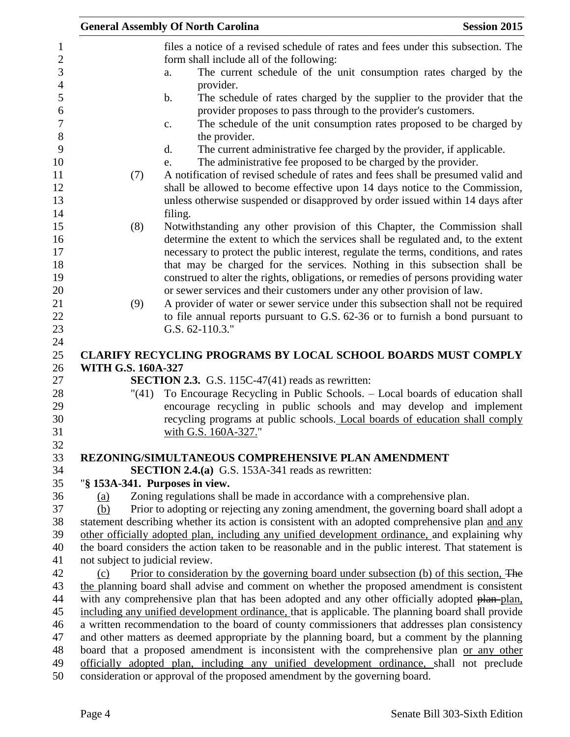|                                 | <b>General Assembly Of North Carolina</b>                                                                                                                                                                                                                                                                                                                                                                               | <b>Session 2015</b> |
|---------------------------------|-------------------------------------------------------------------------------------------------------------------------------------------------------------------------------------------------------------------------------------------------------------------------------------------------------------------------------------------------------------------------------------------------------------------------|---------------------|
|                                 | files a notice of a revised schedule of rates and fees under this subsection. The                                                                                                                                                                                                                                                                                                                                       |                     |
|                                 | form shall include all of the following:<br>The current schedule of the unit consumption rates charged by the<br>a.<br>provider.                                                                                                                                                                                                                                                                                        |                     |
|                                 | The schedule of rates charged by the supplier to the provider that the<br>b.<br>provider proposes to pass through to the provider's customers.<br>The schedule of the unit consumption rates proposed to be charged by<br>c.                                                                                                                                                                                            |                     |
|                                 | the provider.                                                                                                                                                                                                                                                                                                                                                                                                           |                     |
|                                 | The current administrative fee charged by the provider, if applicable.<br>$\mathbf{d}$ .<br>The administrative fee proposed to be charged by the provider.<br>e.                                                                                                                                                                                                                                                        |                     |
| (7)                             | A notification of revised schedule of rates and fees shall be presumed valid and<br>shall be allowed to become effective upon 14 days notice to the Commission,<br>unless otherwise suspended or disapproved by order issued within 14 days after<br>filing.                                                                                                                                                            |                     |
| (8)                             | Notwithstanding any other provision of this Chapter, the Commission shall<br>determine the extent to which the services shall be regulated and, to the extent<br>necessary to protect the public interest, regulate the terms, conditions, and rates<br>that may be charged for the services. Nothing in this subsection shall be<br>construed to alter the rights, obligations, or remedies of persons providing water |                     |
| (9)                             | or sewer services and their customers under any other provision of law.<br>A provider of water or sewer service under this subsection shall not be required<br>to file annual reports pursuant to G.S. 62-36 or to furnish a bond pursuant to<br>G.S. 62-110.3."                                                                                                                                                        |                     |
|                                 | CLARIFY RECYCLING PROGRAMS BY LOCAL SCHOOL BOARDS MUST COMPLY                                                                                                                                                                                                                                                                                                                                                           |                     |
| <b>WITH G.S. 160A-327</b>       | SECTION 2.3. G.S. 115C-47(41) reads as rewritten:                                                                                                                                                                                                                                                                                                                                                                       |                     |
| "(41)                           | To Encourage Recycling in Public Schools. - Local boards of education shall<br>encourage recycling in public schools and may develop and implement                                                                                                                                                                                                                                                                      |                     |
|                                 | recycling programs at public schools. Local boards of education shall comply<br>with G.S. 160A-327."                                                                                                                                                                                                                                                                                                                    |                     |
|                                 | REZONING/SIMULTANEOUS COMPREHENSIVE PLAN AMENDMENT                                                                                                                                                                                                                                                                                                                                                                      |                     |
|                                 | SECTION 2.4.(a) G.S. 153A-341 reads as rewritten:                                                                                                                                                                                                                                                                                                                                                                       |                     |
| "§ 153A-341. Purposes in view.  |                                                                                                                                                                                                                                                                                                                                                                                                                         |                     |
| (a)                             | Zoning regulations shall be made in accordance with a comprehensive plan.                                                                                                                                                                                                                                                                                                                                               |                     |
| (b)                             | Prior to adopting or rejecting any zoning amendment, the governing board shall adopt a                                                                                                                                                                                                                                                                                                                                  |                     |
|                                 | statement describing whether its action is consistent with an adopted comprehensive plan and any                                                                                                                                                                                                                                                                                                                        |                     |
|                                 | other officially adopted plan, including any unified development ordinance, and explaining why                                                                                                                                                                                                                                                                                                                          |                     |
|                                 | the board considers the action taken to be reasonable and in the public interest. That statement is                                                                                                                                                                                                                                                                                                                     |                     |
| not subject to judicial review. |                                                                                                                                                                                                                                                                                                                                                                                                                         |                     |
| (c)                             | Prior to consideration by the governing board under subsection (b) of this section. The                                                                                                                                                                                                                                                                                                                                 |                     |
|                                 | the planning board shall advise and comment on whether the proposed amendment is consistent<br>with any comprehensive plan that has been adopted and any other officially adopted plan-plan,                                                                                                                                                                                                                            |                     |
|                                 | including any unified development ordinance, that is applicable. The planning board shall provide                                                                                                                                                                                                                                                                                                                       |                     |
|                                 | a written recommendation to the board of county commissioners that addresses plan consistency                                                                                                                                                                                                                                                                                                                           |                     |
|                                 | and other matters as deemed appropriate by the planning board, but a comment by the planning                                                                                                                                                                                                                                                                                                                            |                     |
|                                 | board that a proposed amendment is inconsistent with the comprehensive plan or any other                                                                                                                                                                                                                                                                                                                                |                     |
|                                 | officially adopted plan, including any unified development ordinance, shall not preclude                                                                                                                                                                                                                                                                                                                                |                     |
|                                 | consideration or approval of the proposed amendment by the governing board.                                                                                                                                                                                                                                                                                                                                             |                     |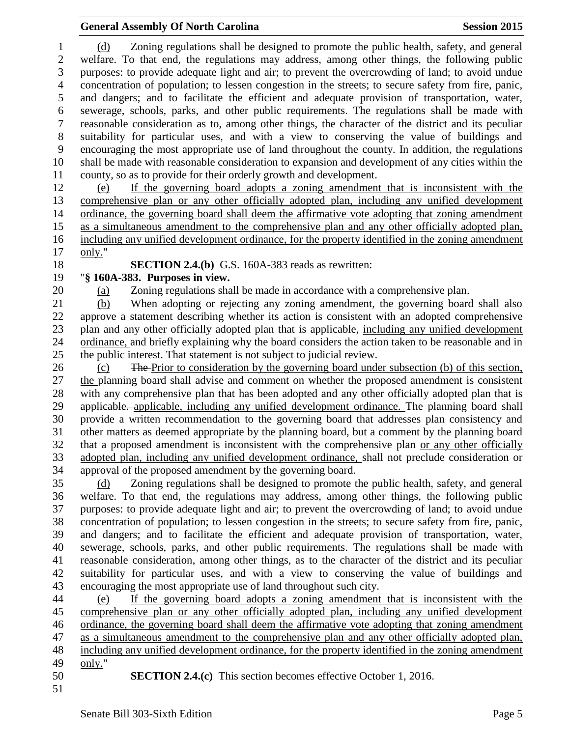(d) Zoning regulations shall be designed to promote the public health, safety, and general welfare. To that end, the regulations may address, among other things, the following public purposes: to provide adequate light and air; to prevent the overcrowding of land; to avoid undue concentration of population; to lessen congestion in the streets; to secure safety from fire, panic, and dangers; and to facilitate the efficient and adequate provision of transportation, water, sewerage, schools, parks, and other public requirements. The regulations shall be made with reasonable consideration as to, among other things, the character of the district and its peculiar suitability for particular uses, and with a view to conserving the value of buildings and encouraging the most appropriate use of land throughout the county. In addition, the regulations shall be made with reasonable consideration to expansion and development of any cities within the county, so as to provide for their orderly growth and development.

 (e) If the governing board adopts a zoning amendment that is inconsistent with the comprehensive plan or any other officially adopted plan, including any unified development ordinance, the governing board shall deem the affirmative vote adopting that zoning amendment as a simultaneous amendment to the comprehensive plan and any other officially adopted plan, including any unified development ordinance, for the property identified in the zoning amendment only."

**SECTION 2.4.(b)** G.S. 160A-383 reads as rewritten:

## "**§ 160A-383. Purposes in view.**

(a) Zoning regulations shall be made in accordance with a comprehensive plan.

 (b) When adopting or rejecting any zoning amendment, the governing board shall also approve a statement describing whether its action is consistent with an adopted comprehensive plan and any other officially adopted plan that is applicable, including any unified development ordinance, and briefly explaining why the board considers the action taken to be reasonable and in the public interest. That statement is not subject to judicial review.

 (c) The Prior to consideration by the governing board under subsection (b) of this section, the planning board shall advise and comment on whether the proposed amendment is consistent with any comprehensive plan that has been adopted and any other officially adopted plan that is 29 applicable, applicable, including any unified development ordinance. The planning board shall provide a written recommendation to the governing board that addresses plan consistency and other matters as deemed appropriate by the planning board, but a comment by the planning board that a proposed amendment is inconsistent with the comprehensive plan or any other officially adopted plan, including any unified development ordinance, shall not preclude consideration or approval of the proposed amendment by the governing board.

 (d) Zoning regulations shall be designed to promote the public health, safety, and general welfare. To that end, the regulations may address, among other things, the following public purposes: to provide adequate light and air; to prevent the overcrowding of land; to avoid undue concentration of population; to lessen congestion in the streets; to secure safety from fire, panic, and dangers; and to facilitate the efficient and adequate provision of transportation, water, sewerage, schools, parks, and other public requirements. The regulations shall be made with reasonable consideration, among other things, as to the character of the district and its peculiar suitability for particular uses, and with a view to conserving the value of buildings and encouraging the most appropriate use of land throughout such city.

 (e) If the governing board adopts a zoning amendment that is inconsistent with the comprehensive plan or any other officially adopted plan, including any unified development ordinance, the governing board shall deem the affirmative vote adopting that zoning amendment as a simultaneous amendment to the comprehensive plan and any other officially adopted plan, including any unified development ordinance, for the property identified in the zoning amendment only."

**SECTION 2.4.(c)** This section becomes effective October 1, 2016.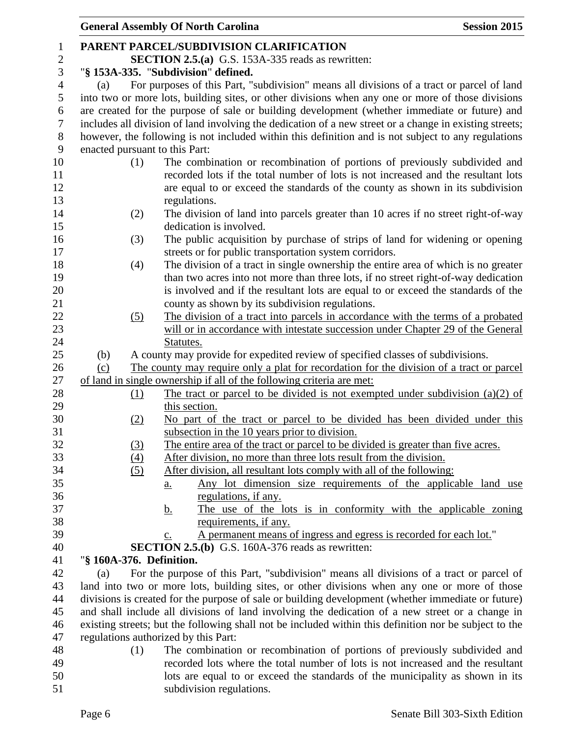|                |                                | <b>General Assembly Of North Carolina</b><br><b>Session 2015</b>                                                                                                                                          |
|----------------|--------------------------------|-----------------------------------------------------------------------------------------------------------------------------------------------------------------------------------------------------------|
| $\mathbf{1}$   |                                | PARENT PARCEL/SUBDIVISION CLARIFICATION                                                                                                                                                                   |
| $\overline{c}$ |                                | <b>SECTION 2.5.(a)</b> G.S. 153A-335 reads as rewritten:                                                                                                                                                  |
| 3              |                                | "§ 153A-335. "Subdivision" defined.                                                                                                                                                                       |
| $\overline{4}$ | (a)                            | For purposes of this Part, "subdivision" means all divisions of a tract or parcel of land                                                                                                                 |
| 5              |                                | into two or more lots, building sites, or other divisions when any one or more of those divisions                                                                                                         |
| 6              |                                | are created for the purpose of sale or building development (whether immediate or future) and                                                                                                             |
| $\tau$         |                                | includes all division of land involving the dedication of a new street or a change in existing streets;                                                                                                   |
| $8\,$          |                                | however, the following is not included within this definition and is not subject to any regulations                                                                                                       |
| $\mathbf{9}$   | enacted pursuant to this Part: |                                                                                                                                                                                                           |
| 10             | (1)                            | The combination or recombination of portions of previously subdivided and                                                                                                                                 |
| 11             |                                | recorded lots if the total number of lots is not increased and the resultant lots                                                                                                                         |
| 12             |                                | are equal to or exceed the standards of the county as shown in its subdivision                                                                                                                            |
| 13             |                                | regulations.                                                                                                                                                                                              |
| 14             | (2)                            | The division of land into parcels greater than 10 acres if no street right-of-way                                                                                                                         |
| 15             |                                | dedication is involved.                                                                                                                                                                                   |
| 16             | (3)                            | The public acquisition by purchase of strips of land for widening or opening                                                                                                                              |
| 17             |                                | streets or for public transportation system corridors.                                                                                                                                                    |
| 18             | (4)                            | The division of a tract in single ownership the entire area of which is no greater                                                                                                                        |
| 19             |                                | than two acres into not more than three lots, if no street right-of-way dedication                                                                                                                        |
| 20             |                                | is involved and if the resultant lots are equal to or exceed the standards of the                                                                                                                         |
| 21             |                                | county as shown by its subdivision regulations.                                                                                                                                                           |
| 22             | (5)                            | The division of a tract into parcels in accordance with the terms of a probated                                                                                                                           |
| 23             |                                | will or in accordance with intestate succession under Chapter 29 of the General                                                                                                                           |
| 24             |                                | Statutes.                                                                                                                                                                                                 |
| 25             | (b)                            | A county may provide for expedited review of specified classes of subdivisions.                                                                                                                           |
| 26             | (c)                            | The county may require only a plat for recordation for the division of a tract or parcel                                                                                                                  |
| 27             |                                | of land in single ownership if all of the following criteria are met:                                                                                                                                     |
| 28             | $\Omega$                       | The tract or parcel to be divided is not exempted under subdivision $(a)(2)$ of                                                                                                                           |
| 29             |                                | this section.                                                                                                                                                                                             |
| 30             | (2)                            | No part of the tract or parcel to be divided has been divided under this                                                                                                                                  |
| 31             |                                | subsection in the 10 years prior to division.                                                                                                                                                             |
| 32             | (3)                            | The entire area of the tract or parcel to be divided is greater than five acres.                                                                                                                          |
| 33             | $\underline{(4)}$              | After division, no more than three lots result from the division.                                                                                                                                         |
| 34             | (5)                            | After division, all resultant lots comply with all of the following:                                                                                                                                      |
| 35             |                                | Any lot dimension size requirements of the applicable land use<br>a.                                                                                                                                      |
| 36             |                                | regulations, if any.                                                                                                                                                                                      |
| 37             |                                | The use of the lots is in conformity with the applicable zoning<br><u>b.</u>                                                                                                                              |
| 38             |                                | requirements, if any.                                                                                                                                                                                     |
| 39             |                                | A permanent means of ingress and egress is recorded for each lot."<br>c.                                                                                                                                  |
| 40             |                                | <b>SECTION 2.5.(b)</b> G.S. 160A-376 reads as rewritten:                                                                                                                                                  |
| 41             | "§ 160A-376. Definition.       |                                                                                                                                                                                                           |
| 42             | (a)                            | For the purpose of this Part, "subdivision" means all divisions of a tract or parcel of                                                                                                                   |
| 43             |                                | land into two or more lots, building sites, or other divisions when any one or more of those                                                                                                              |
| 44<br>45       |                                | divisions is created for the purpose of sale or building development (whether immediate or future)                                                                                                        |
| 46             |                                | and shall include all divisions of land involving the dedication of a new street or a change in<br>existing streets; but the following shall not be included within this definition nor be subject to the |
|                |                                |                                                                                                                                                                                                           |
| 47<br>48       | (1)                            | regulations authorized by this Part:<br>The combination or recombination of portions of previously subdivided and                                                                                         |
| 49             |                                | recorded lots where the total number of lots is not increased and the resultant                                                                                                                           |
| 50             |                                | lots are equal to or exceed the standards of the municipality as shown in its                                                                                                                             |
| 51             |                                | subdivision regulations.                                                                                                                                                                                  |
|                |                                |                                                                                                                                                                                                           |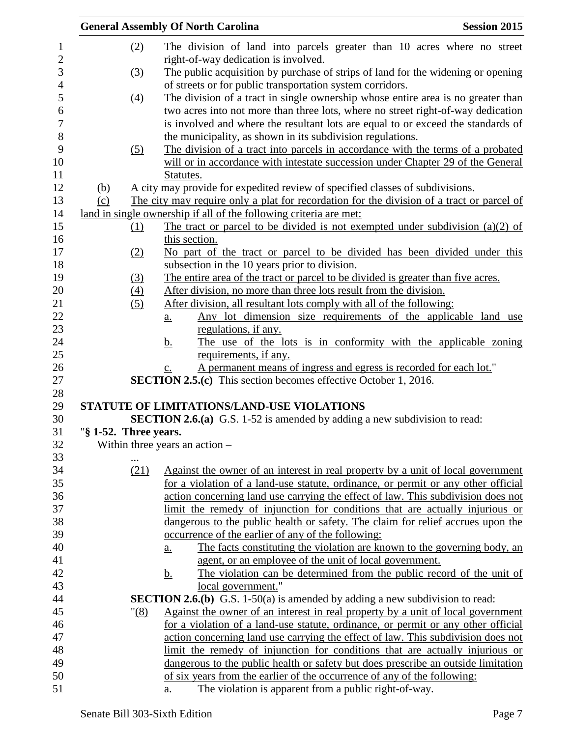|                       |                  | <b>General Assembly Of North Carolina</b>                                                                                                                         | <b>Session 2015</b> |
|-----------------------|------------------|-------------------------------------------------------------------------------------------------------------------------------------------------------------------|---------------------|
|                       | (2)              | The division of land into parcels greater than 10 acres where no street                                                                                           |                     |
|                       |                  | right-of-way dedication is involved.                                                                                                                              |                     |
|                       | (3)              | The public acquisition by purchase of strips of land for the widening or opening                                                                                  |                     |
|                       |                  | of streets or for public transportation system corridors.                                                                                                         |                     |
|                       | (4)              | The division of a tract in single ownership whose entire area is no greater than                                                                                  |                     |
|                       |                  | two acres into not more than three lots, where no street right-of-way dedication                                                                                  |                     |
|                       |                  | is involved and where the resultant lots are equal to or exceed the standards of                                                                                  |                     |
|                       |                  | the municipality, as shown in its subdivision regulations.                                                                                                        |                     |
|                       | (5)              | The division of a tract into parcels in accordance with the terms of a probated                                                                                   |                     |
|                       |                  | will or in accordance with intestate succession under Chapter 29 of the General                                                                                   |                     |
|                       |                  | Statutes.                                                                                                                                                         |                     |
| (b)                   |                  | A city may provide for expedited review of specified classes of subdivisions.                                                                                     |                     |
| (c)                   |                  |                                                                                                                                                                   |                     |
|                       |                  | The city may require only a plat for recordation for the division of a tract or parcel of<br>land in single ownership if all of the following criteria are met:   |                     |
|                       |                  |                                                                                                                                                                   |                     |
|                       | $\Omega$         | The tract or parcel to be divided is not exempted under subdivision (a)(2) of<br>this section.                                                                    |                     |
|                       |                  |                                                                                                                                                                   |                     |
|                       | (2)              | No part of the tract or parcel to be divided has been divided under this<br>subsection in the 10 years prior to division.                                         |                     |
|                       |                  |                                                                                                                                                                   |                     |
|                       | (3)              | The entire area of the tract or parcel to be divided is greater than five acres.<br>After division, no more than three lots result from the division.             |                     |
|                       | $\left(4\right)$ |                                                                                                                                                                   |                     |
|                       | (5)              | After division, all resultant lots comply with all of the following:                                                                                              |                     |
|                       |                  | Any lot dimension size requirements of the applicable land use<br>$\underline{\mathbf{a}}$ .                                                                      |                     |
|                       |                  | regulations, if any.                                                                                                                                              |                     |
|                       |                  | The use of the lots is in conformity with the applicable zoning<br><u>b.</u>                                                                                      |                     |
|                       |                  | requirements, if any.                                                                                                                                             |                     |
|                       |                  | A permanent means of ingress and egress is recorded for each lot."<br>$\underline{c}$ .<br><b>SECTION 2.5.(c)</b> This section becomes effective October 1, 2016. |                     |
|                       |                  |                                                                                                                                                                   |                     |
|                       |                  | STATUTE OF LIMITATIONS/LAND-USE VIOLATIONS                                                                                                                        |                     |
|                       |                  | <b>SECTION 2.6.(a)</b> G.S. 1-52 is amended by adding a new subdivision to read:                                                                                  |                     |
| "§ 1-52. Three years. |                  |                                                                                                                                                                   |                     |
|                       |                  | Within three years an action $-$                                                                                                                                  |                     |
|                       |                  |                                                                                                                                                                   |                     |
|                       | (21)             | Against the owner of an interest in real property by a unit of local government                                                                                   |                     |
|                       |                  | for a violation of a land-use statute, ordinance, or permit or any other official                                                                                 |                     |
|                       |                  | action concerning land use carrying the effect of law. This subdivision does not                                                                                  |                     |
|                       |                  | limit the remedy of injunction for conditions that are actually injurious or                                                                                      |                     |
|                       |                  | dangerous to the public health or safety. The claim for relief accrues upon the                                                                                   |                     |
|                       |                  | occurrence of the earlier of any of the following:                                                                                                                |                     |
|                       |                  | The facts constituting the violation are known to the governing body, an                                                                                          |                     |
|                       |                  | <u>a.</u><br>agent, or an employee of the unit of local government.                                                                                               |                     |
|                       |                  | The violation can be determined from the public record of the unit of                                                                                             |                     |
|                       |                  | <u>b.</u>                                                                                                                                                         |                     |
|                       |                  | local government."                                                                                                                                                |                     |
|                       |                  | <b>SECTION 2.6.(b)</b> G.S. 1-50(a) is amended by adding a new subdivision to read:                                                                               |                     |
|                       | " <u>(8)</u>     | Against the owner of an interest in real property by a unit of local government                                                                                   |                     |
|                       |                  | for a violation of a land-use statute, ordinance, or permit or any other official                                                                                 |                     |
|                       |                  | action concerning land use carrying the effect of law. This subdivision does not                                                                                  |                     |
|                       |                  | limit the remedy of injunction for conditions that are actually injurious or                                                                                      |                     |
|                       |                  | dangerous to the public health or safety but does prescribe an outside limitation                                                                                 |                     |
|                       |                  | of six years from the earlier of the occurrence of any of the following:                                                                                          |                     |
|                       |                  | The violation is apparent from a public right-of-way.<br>a.                                                                                                       |                     |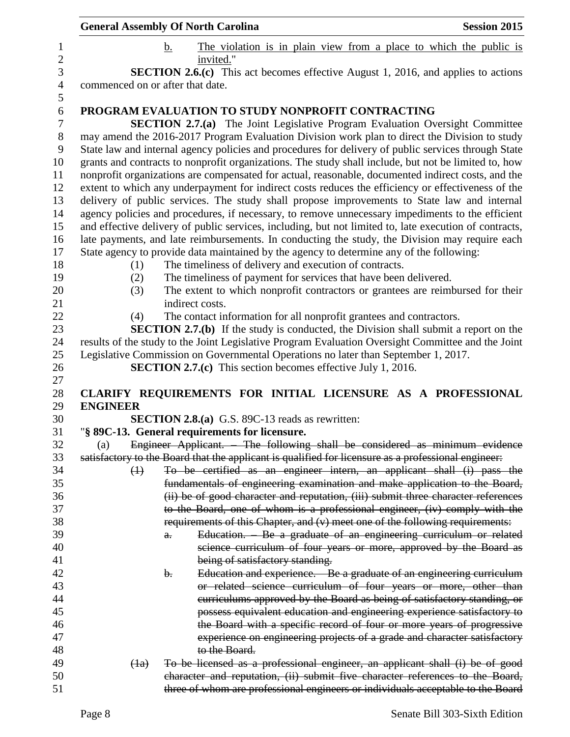|                                  | <b>General Assembly Of North Carolina</b>                                                                                                                                                                                                                                                                         | <b>Session 2015</b> |
|----------------------------------|-------------------------------------------------------------------------------------------------------------------------------------------------------------------------------------------------------------------------------------------------------------------------------------------------------------------|---------------------|
|                                  | The violation is in plain view from a place to which the public is<br>b.                                                                                                                                                                                                                                          |                     |
|                                  | invited."<br><b>SECTION 2.6.(c)</b> This act becomes effective August 1, 2016, and applies to actions                                                                                                                                                                                                             |                     |
| commenced on or after that date. |                                                                                                                                                                                                                                                                                                                   |                     |
|                                  |                                                                                                                                                                                                                                                                                                                   |                     |
|                                  | PROGRAM EVALUATION TO STUDY NONPROFIT CONTRACTING<br><b>SECTION 2.7.(a)</b> The Joint Legislative Program Evaluation Oversight Committee<br>may amend the 2016-2017 Program Evaluation Division work plan to direct the Division to study                                                                         |                     |
|                                  | State law and internal agency policies and procedures for delivery of public services through State<br>grants and contracts to nonprofit organizations. The study shall include, but not be limited to, how<br>nonprofit organizations are compensated for actual, reasonable, documented indirect costs, and the |                     |
|                                  | extent to which any underpayment for indirect costs reduces the efficiency or effectiveness of the<br>delivery of public services. The study shall propose improvements to State law and internal                                                                                                                 |                     |
|                                  | agency policies and procedures, if necessary, to remove unnecessary impediments to the efficient                                                                                                                                                                                                                  |                     |
|                                  | and effective delivery of public services, including, but not limited to, late execution of contracts,                                                                                                                                                                                                            |                     |
|                                  | late payments, and late reimbursements. In conducting the study, the Division may require each<br>State agency to provide data maintained by the agency to determine any of the following:                                                                                                                        |                     |
| (1)                              | The timeliness of delivery and execution of contracts.                                                                                                                                                                                                                                                            |                     |
| (2)                              | The timeliness of payment for services that have been delivered.                                                                                                                                                                                                                                                  |                     |
| (3)                              | The extent to which nonprofit contractors or grantees are reimbursed for their                                                                                                                                                                                                                                    |                     |
|                                  | indirect costs.                                                                                                                                                                                                                                                                                                   |                     |
| (4)                              | The contact information for all nonprofit grantees and contractors.                                                                                                                                                                                                                                               |                     |
|                                  | <b>SECTION 2.7.(b)</b> If the study is conducted, the Division shall submit a report on the                                                                                                                                                                                                                       |                     |
|                                  | results of the study to the Joint Legislative Program Evaluation Oversight Committee and the Joint                                                                                                                                                                                                                |                     |
|                                  | Legislative Commission on Governmental Operations no later than September 1, 2017.                                                                                                                                                                                                                                |                     |
|                                  | <b>SECTION 2.7.(c)</b> This section becomes effective July 1, 2016.                                                                                                                                                                                                                                               |                     |
|                                  |                                                                                                                                                                                                                                                                                                                   |                     |
| <b>ENGINEER</b>                  | CLARIFY REQUIREMENTS FOR INITIAL LICENSURE AS A PROFESSIONAL                                                                                                                                                                                                                                                      |                     |
|                                  | <b>SECTION 2.8.(a)</b> G.S. 89C-13 reads as rewritten:                                                                                                                                                                                                                                                            |                     |
|                                  | "§ 89C-13. General requirements for licensure.                                                                                                                                                                                                                                                                    |                     |
| (a)                              | Engineer Applicant. The following shall be considered as minimum evidence                                                                                                                                                                                                                                         |                     |
|                                  | satisfactory to the Board that the applicant is qualified for licensure as a professional engineer:                                                                                                                                                                                                               |                     |
| $\bigoplus$                      | To be certified as an engineer intern, an applicant shall (i) pass the                                                                                                                                                                                                                                            |                     |
|                                  | fundamentals of engineering examination and make application to the Board,                                                                                                                                                                                                                                        |                     |
|                                  | (ii) be of good character and reputation, (iii) submit three character references                                                                                                                                                                                                                                 |                     |
|                                  | to the Board, one of whom is a professional engineer, (iv) comply with the                                                                                                                                                                                                                                        |                     |
|                                  | requirements of this Chapter, and (v) meet one of the following requirements:                                                                                                                                                                                                                                     |                     |
|                                  | Education. Be a graduate of an engineering curriculum or related<br>$\theta$ .                                                                                                                                                                                                                                    |                     |
|                                  | science curriculum of four years or more, approved by the Board as                                                                                                                                                                                                                                                |                     |
|                                  | being of satisfactory standing.                                                                                                                                                                                                                                                                                   |                     |
|                                  | Education and experience. - Be a graduate of an engineering curriculum<br>b.                                                                                                                                                                                                                                      |                     |
|                                  | or related science curriculum of four years or more, other than                                                                                                                                                                                                                                                   |                     |
|                                  | eurriculums approved by the Board as being of satisfactory standing, or                                                                                                                                                                                                                                           |                     |
|                                  | possess equivalent education and engineering experience satisfactory to                                                                                                                                                                                                                                           |                     |
|                                  | the Board with a specific record of four or more years of progressive                                                                                                                                                                                                                                             |                     |
|                                  | experience on engineering projects of a grade and character satisfactory<br>to the Board.                                                                                                                                                                                                                         |                     |
| (1a)                             | To be licensed as a professional engineer, an applicant shall (i) be of good                                                                                                                                                                                                                                      |                     |
|                                  | character and reputation, (ii) submit five character references to the Board,                                                                                                                                                                                                                                     |                     |
|                                  | three of whom are professional engineers or individuals acceptable to the Board                                                                                                                                                                                                                                   |                     |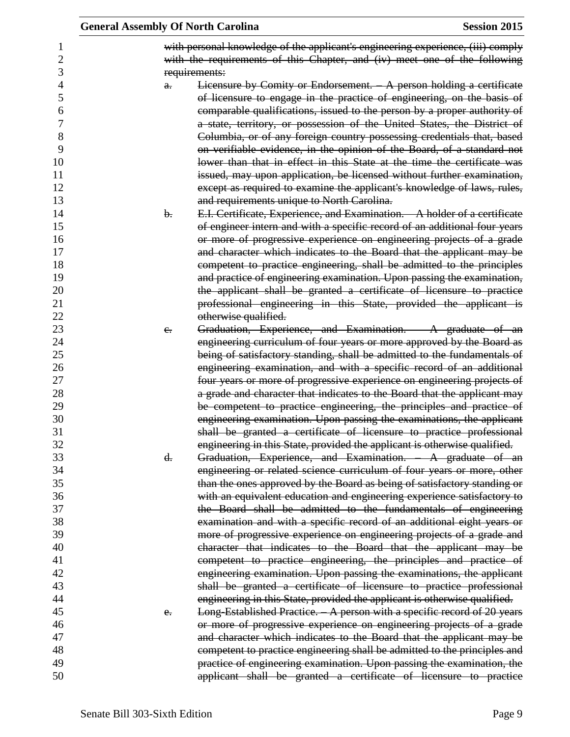|         | <b>General Assembly Of North Carolina</b>                                                                                                                                     | <b>Session 2015</b> |
|---------|-------------------------------------------------------------------------------------------------------------------------------------------------------------------------------|---------------------|
|         | with personal knowledge of the applicant's engineering experience, (iii) comply<br>with the requirements of this Chapter, and (iv) meet one of the following<br>requirements: |                     |
| a.      | Licensure by Comity or Endorsement. - A person holding a certificate                                                                                                          |                     |
|         | of licensure to engage in the practice of engineering, on the basis of                                                                                                        |                     |
|         | comparable qualifications, issued to the person by a proper authority of                                                                                                      |                     |
|         | a state, territory, or possession of the United States, the District of                                                                                                       |                     |
|         | Columbia, or of any foreign country possessing credentials that, based                                                                                                        |                     |
|         | on verifiable evidence, in the opinion of the Board, of a standard not                                                                                                        |                     |
|         | lower than that in effect in this State at the time the certificate was                                                                                                       |                     |
|         | issued, may upon application, be licensed without further examination,                                                                                                        |                     |
|         | except as required to examine the applicant's knowledge of laws, rules,                                                                                                       |                     |
|         | and requirements unique to North Carolina.                                                                                                                                    |                     |
| b.      | E.I. Certificate, Experience, and Examination. - A holder of a certificate                                                                                                    |                     |
|         | of engineer intern and with a specific record of an additional four years                                                                                                     |                     |
|         | or more of progressive experience on engineering projects of a grade                                                                                                          |                     |
|         | and character which indicates to the Board that the applicant may be                                                                                                          |                     |
|         | competent to practice engineering, shall be admitted to the principles                                                                                                        |                     |
|         | and practice of engineering examination. Upon passing the examination,                                                                                                        |                     |
|         | the applicant shall be granted a certificate of licensure to practice                                                                                                         |                     |
|         | professional engineering in this State, provided the applicant is                                                                                                             |                     |
|         | otherwise qualified.                                                                                                                                                          |                     |
| $e_{i}$ | Graduation, Experience, and Examination. A graduate of an                                                                                                                     |                     |
|         | engineering curriculum of four years or more approved by the Board as                                                                                                         |                     |
|         | being of satisfactory standing, shall be admitted to the fundamentals of                                                                                                      |                     |
|         | engineering examination, and with a specific record of an additional                                                                                                          |                     |
|         | four years or more of progressive experience on engineering projects of                                                                                                       |                     |
|         | a grade and character that indicates to the Board that the applicant may                                                                                                      |                     |
|         | be competent to practice engineering, the principles and practice of                                                                                                          |                     |
|         | engineering examination. Upon passing the examinations, the applicant                                                                                                         |                     |
|         | shall be granted a certificate of licensure to practice professional                                                                                                          |                     |
|         | engineering in this State, provided the applicant is otherwise qualified.                                                                                                     |                     |
| d.      | Graduation, Experience, and Examination. A graduate of an                                                                                                                     |                     |
|         | engineering or related science curriculum of four years or more, other                                                                                                        |                     |
|         | than the ones approved by the Board as being of satisfactory standing or                                                                                                      |                     |
|         | with an equivalent education and engineering experience satisfactory to                                                                                                       |                     |
|         | the Board shall be admitted to the fundamentals of engineering                                                                                                                |                     |
|         | examination and with a specific record of an additional eight years or                                                                                                        |                     |
|         | more of progressive experience on engineering projects of a grade and                                                                                                         |                     |
|         | character that indicates to the Board that the applicant may be                                                                                                               |                     |
|         | competent to practice engineering, the principles and practice of                                                                                                             |                     |
|         | engineering examination. Upon passing the examinations, the applicant                                                                                                         |                     |
|         | shall be granted a certificate of licensure to practice professional                                                                                                          |                     |
|         | engineering in this State, provided the applicant is otherwise qualified.                                                                                                     |                     |
| e.      | Long-Established Practice. - A person with a specific record of 20 years                                                                                                      |                     |
|         | or more of progressive experience on engineering projects of a grade                                                                                                          |                     |
|         | and character which indicates to the Board that the applicant may be                                                                                                          |                     |
|         | competent to practice engineering shall be admitted to the principles and                                                                                                     |                     |
|         | practice of engineering examination. Upon passing the examination, the                                                                                                        |                     |
|         | applicant shall be granted a certificate of licensure to practice                                                                                                             |                     |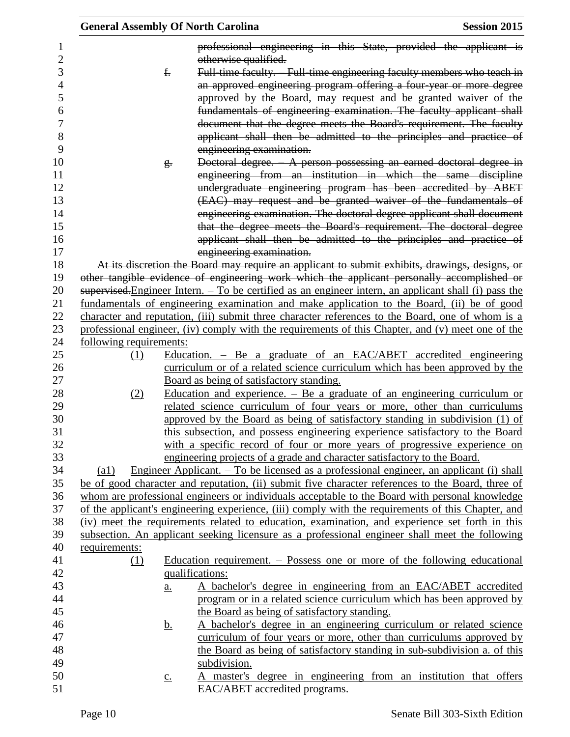|                | <b>General Assembly Of North Carolina</b> |                            |                                              | <b>Session 2015</b>                                                                                                                                                                                 |
|----------------|-------------------------------------------|----------------------------|----------------------------------------------|-----------------------------------------------------------------------------------------------------------------------------------------------------------------------------------------------------|
| 1              |                                           |                            |                                              | professional engineering in this State, provided the applicant is                                                                                                                                   |
| $\overline{c}$ |                                           |                            | otherwise qualified.                         |                                                                                                                                                                                                     |
| 3              |                                           | f.                         |                                              | Full-time faculty. Full-time engineering faculty members who teach in                                                                                                                               |
| $\overline{4}$ |                                           |                            |                                              | an approved engineering program offering a four year or more degree                                                                                                                                 |
| 5              |                                           |                            |                                              | approved by the Board, may request and be granted waiver of the                                                                                                                                     |
| 6              |                                           |                            |                                              | fundamentals of engineering examination. The faculty applicant shall                                                                                                                                |
| 7              |                                           |                            |                                              | document that the degree meets the Board's requirement. The faculty                                                                                                                                 |
| 8              |                                           |                            |                                              | applicant shall then be admitted to the principles and practice of                                                                                                                                  |
| 9              |                                           |                            | engineering examination.                     |                                                                                                                                                                                                     |
| 10             |                                           | g.                         |                                              | Doctoral degree. - A person possessing an earned doctoral degree in                                                                                                                                 |
| 11             |                                           |                            |                                              | engineering from an institution in which the same discipline                                                                                                                                        |
| 12             |                                           |                            |                                              | undergraduate engineering program has been accredited by ABET                                                                                                                                       |
| 13             |                                           |                            |                                              | (EAC) may request and be granted waiver of the fundamentals of                                                                                                                                      |
| 14             |                                           |                            |                                              | engineering examination. The doctoral degree applicant shall document                                                                                                                               |
| 15             |                                           |                            |                                              | that the degree meets the Board's requirement. The doctoral degree                                                                                                                                  |
| 16             |                                           |                            |                                              | applicant shall then be admitted to the principles and practice of                                                                                                                                  |
| 17             |                                           |                            | engineering examination.                     |                                                                                                                                                                                                     |
| 18             |                                           |                            |                                              | At its discretion the Board may require an applicant to submit exhibits, drawings, designs, or                                                                                                      |
| 19             |                                           |                            |                                              | other tangible evidence of engineering work which the applicant personally accomplished or                                                                                                          |
| 20             |                                           |                            |                                              | supervised. Engineer Intern. $-$ To be certified as an engineer intern, an applicant shall (i) pass the                                                                                             |
| 21             |                                           |                            |                                              | fundamentals of engineering examination and make application to the Board, (ii) be of good                                                                                                          |
| 22             |                                           |                            |                                              | character and reputation, (iii) submit three character references to the Board, one of whom is a                                                                                                    |
| 23             |                                           |                            |                                              | professional engineer, (iv) comply with the requirements of this Chapter, and (v) meet one of the                                                                                                   |
| 24             | following requirements:                   |                            |                                              |                                                                                                                                                                                                     |
| 25             | (1)                                       |                            |                                              | Education. $-$ Be a graduate of an EAC/ABET accredited engineering                                                                                                                                  |
| 26             |                                           |                            |                                              | curriculum or of a related science curriculum which has been approved by the                                                                                                                        |
| 27             |                                           |                            | Board as being of satisfactory standing.     |                                                                                                                                                                                                     |
| 28             | (2)                                       |                            |                                              | <u>Education and experience. <math>-</math> Be a graduate of an engineering curriculum or</u>                                                                                                       |
| 29             |                                           |                            |                                              | related science curriculum of four years or more, other than curriculums                                                                                                                            |
| 30<br>31       |                                           |                            |                                              | approved by the Board as being of satisfactory standing in subdivision (1) of                                                                                                                       |
|                |                                           |                            |                                              | this subsection, and possess engineering experience satisfactory to the Board                                                                                                                       |
| 32<br>33       |                                           |                            |                                              | with a specific record of four or more years of progressive experience on                                                                                                                           |
| 34             |                                           |                            |                                              | engineering projects of a grade and character satisfactory to the Board.                                                                                                                            |
| 35             | $\left( a1\right)$                        |                            |                                              | <u>Engineer Applicant. – To be licensed as a professional engineer, an applicant (i) shall</u><br>be of good character and reputation, (ii) submit five character references to the Board, three of |
| 36             |                                           |                            |                                              | whom are professional engineers or individuals acceptable to the Board with personal knowledge                                                                                                      |
| 37             |                                           |                            |                                              | of the applicant's engineering experience, (iii) comply with the requirements of this Chapter, and                                                                                                  |
| 38             |                                           |                            |                                              | (iv) meet the requirements related to education, examination, and experience set forth in this                                                                                                      |
| 39             |                                           |                            |                                              | subsection. An applicant seeking licensure as a professional engineer shall meet the following                                                                                                      |
| 40             | requirements:                             |                            |                                              |                                                                                                                                                                                                     |
| 41             | (1)                                       |                            |                                              | Education requirement. $-$ Possess one or more of the following educational                                                                                                                         |
| 42             |                                           |                            | qualifications:                              |                                                                                                                                                                                                     |
| 43             |                                           | $\underline{\mathbf{a}}$ . |                                              | A bachelor's degree in engineering from an EAC/ABET accredited                                                                                                                                      |
| 44             |                                           |                            |                                              | program or in a related science curriculum which has been approved by                                                                                                                               |
| 45             |                                           |                            | the Board as being of satisfactory standing. |                                                                                                                                                                                                     |
| 46             |                                           | <u>b.</u>                  |                                              | A bachelor's degree in an engineering curriculum or related science                                                                                                                                 |
| 47             |                                           |                            |                                              | curriculum of four years or more, other than curriculums approved by                                                                                                                                |
| 48             |                                           |                            |                                              | the Board as being of satisfactory standing in sub-subdivision a. of this                                                                                                                           |
| 49             |                                           |                            | subdivision.                                 |                                                                                                                                                                                                     |
| 50             |                                           | $\underline{c}$ .          |                                              | A master's degree in engineering from an institution that offers                                                                                                                                    |
| 51             |                                           |                            | EAC/ABET accredited programs.                |                                                                                                                                                                                                     |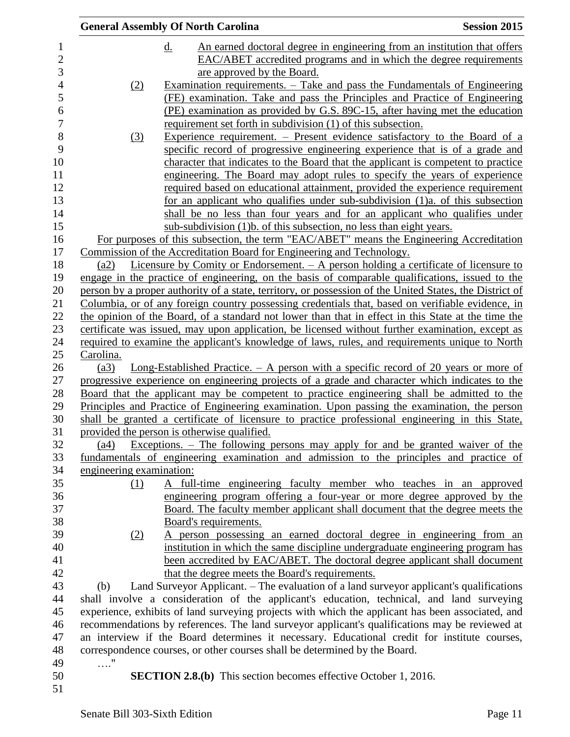|                  |                          | <b>General Assembly Of North Carolina</b>                                                               | <b>Session 2015</b> |
|------------------|--------------------------|---------------------------------------------------------------------------------------------------------|---------------------|
| 1                |                          | An earned doctoral degree in engineering from an institution that offers<br>$\underline{\mathrm{d}}$ .  |                     |
| $\overline{2}$   |                          | EAC/ABET accredited programs and in which the degree requirements                                       |                     |
| 3                |                          | are approved by the Board.                                                                              |                     |
| $\overline{4}$   | (2)                      | Examination requirements. – Take and pass the Fundamentals of Engineering                               |                     |
| 5                |                          | (FE) examination. Take and pass the Principles and Practice of Engineering                              |                     |
| 6                |                          | (PE) examination as provided by G.S. 89C-15, after having met the education                             |                     |
| $\boldsymbol{7}$ |                          | requirement set forth in subdivision (1) of this subsection.                                            |                     |
| 8                | (3)                      | Experience requirement. – Present evidence satisfactory to the Board of a                               |                     |
| 9                |                          | specific record of progressive engineering experience that is of a grade and                            |                     |
| 10               |                          | character that indicates to the Board that the applicant is competent to practice                       |                     |
| 11               |                          | engineering. The Board may adopt rules to specify the years of experience                               |                     |
| 12               |                          | required based on educational attainment, provided the experience requirement                           |                     |
| 13               |                          | for an applicant who qualifies under sub-subdivision (1)a. of this subsection                           |                     |
| 14               |                          | shall be no less than four years and for an applicant who qualifies under                               |                     |
| 15               |                          | sub-subdivision (1)b. of this subsection, no less than eight years.                                     |                     |
| 16               |                          | For purposes of this subsection, the term "EAC/ABET" means the Engineering Accreditation                |                     |
| 17               |                          | Commission of the Accreditation Board for Engineering and Technology.                                   |                     |
| 18               | (a2)                     | Licensure by Comity or Endorsement. $-$ A person holding a certificate of licensure to                  |                     |
| 19               |                          | engage in the practice of engineering, on the basis of comparable qualifications, issued to the         |                     |
| 20               |                          | person by a proper authority of a state, territory, or possession of the United States, the District of |                     |
| 21               |                          | Columbia, or of any foreign country possessing credentials that, based on verifiable evidence, in       |                     |
| 22               |                          | the opinion of the Board, of a standard not lower than that in effect in this State at the time the     |                     |
| 23               |                          | certificate was issued, may upon application, be licensed without further examination, except as        |                     |
| 24<br>25         | Carolina.                | required to examine the applicant's knowledge of laws, rules, and requirements unique to North          |                     |
| 26               | (a3)                     | <u>Long-Established Practice. <math>-</math> A person with a specific record of 20 years or more of</u> |                     |
| 27               |                          | progressive experience on engineering projects of a grade and character which indicates to the          |                     |
| 28               |                          | Board that the applicant may be competent to practice engineering shall be admitted to the              |                     |
| 29               |                          | Principles and Practice of Engineering examination. Upon passing the examination, the person            |                     |
| 30               |                          | shall be granted a certificate of licensure to practice professional engineering in this State,         |                     |
| 31               |                          | provided the person is otherwise qualified.                                                             |                     |
| 32               | (a4)                     | <u>Exceptions. – The following persons may apply for and be granted waiver of the</u>                   |                     |
| 33               |                          | fundamentals of engineering examination and admission to the principles and practice of                 |                     |
| 34               | engineering examination: |                                                                                                         |                     |
| 35               | (1)                      | A full-time engineering faculty member who teaches in an approved                                       |                     |
| 36               |                          | engineering program offering a four-year or more degree approved by the                                 |                     |
| 37               |                          | Board. The faculty member applicant shall document that the degree meets the                            |                     |
| 38               |                          | Board's requirements.                                                                                   |                     |
| 39               | (2)                      | A person possessing an earned doctoral degree in engineering from an                                    |                     |
| 40               |                          | institution in which the same discipline undergraduate engineering program has                          |                     |
| 41               |                          | been accredited by EAC/ABET. The doctoral degree applicant shall document                               |                     |
| 42               |                          | that the degree meets the Board's requirements.                                                         |                     |
| 43               | (b)                      | Land Surveyor Applicant. – The evaluation of a land surveyor applicant's qualifications                 |                     |
| 44               |                          | shall involve a consideration of the applicant's education, technical, and land surveying               |                     |
| 45               |                          | experience, exhibits of land surveying projects with which the applicant has been associated, and       |                     |
| 46               |                          | recommendations by references. The land surveyor applicant's qualifications may be reviewed at          |                     |
| 47               |                          | an interview if the Board determines it necessary. Educational credit for institute courses,            |                     |
| 48               |                          | correspondence courses, or other courses shall be determined by the Board.                              |                     |
| 49               | $\ldots$ "               |                                                                                                         |                     |
| 50               |                          | <b>SECTION 2.8.(b)</b> This section becomes effective October 1, 2016.                                  |                     |
| 51               |                          |                                                                                                         |                     |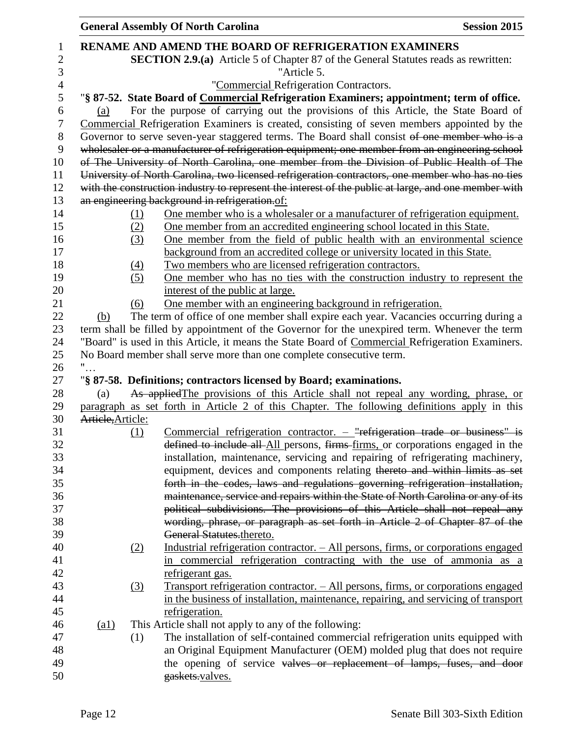|                           |     | <b>General Assembly Of North Carolina</b>                                                                                                               | <b>Session 2015</b> |
|---------------------------|-----|---------------------------------------------------------------------------------------------------------------------------------------------------------|---------------------|
|                           |     | <b>RENAME AND AMEND THE BOARD OF REFRIGERATION EXAMINERS</b>                                                                                            |                     |
|                           |     | <b>SECTION 2.9.(a)</b> Article 5 of Chapter 87 of the General Statutes reads as rewritten:                                                              |                     |
|                           |     | "Article 5.                                                                                                                                             |                     |
|                           |     | "Commercial Refrigeration Contractors.                                                                                                                  |                     |
|                           |     | "§ 87-52. State Board of Commercial Refrigeration Examiners; appointment; term of office.                                                               |                     |
| (a)                       |     | For the purpose of carrying out the provisions of this Article, the State Board of                                                                      |                     |
|                           |     | Commercial Refrigeration Examiners is created, consisting of seven members appointed by the                                                             |                     |
|                           |     | Governor to serve seven-year staggered terms. The Board shall consist of one member who is a                                                            |                     |
|                           |     | wholesaler or a manufacturer of refrigeration equipment; one member from an engineering school                                                          |                     |
|                           |     | of The University of North Carolina, one member from the Division of Public Health of The                                                               |                     |
|                           |     | University of North Carolina, two licensed refrigeration contractors, one member who has no ties                                                        |                     |
|                           |     | with the construction industry to represent the interest of the public at large, and one member with                                                    |                     |
|                           |     | an engineering background in refrigeration.of:                                                                                                          |                     |
|                           |     |                                                                                                                                                         |                     |
|                           | (1) | One member who is a wholesaler or a manufacturer of refrigeration equipment.<br>One member from an accredited engineering school located in this State. |                     |
|                           | (2) |                                                                                                                                                         |                     |
|                           | (3) | One member from the field of public health with an environmental science<br>background from an accredited college or university located in this State.  |                     |
|                           |     |                                                                                                                                                         |                     |
|                           | (4) | Two members who are licensed refrigeration contractors.                                                                                                 |                     |
|                           | (5) | One member who has no ties with the construction industry to represent the                                                                              |                     |
|                           |     | interest of the public at large.                                                                                                                        |                     |
|                           | (6) | One member with an engineering background in refrigeration.                                                                                             |                     |
| (b)                       |     | The term of office of one member shall expire each year. Vacancies occurring during a                                                                   |                     |
|                           |     | term shall be filled by appointment of the Governor for the unexpired term. Whenever the term                                                           |                     |
|                           |     | "Board" is used in this Article, it means the State Board of Commercial Refrigeration Examiners.                                                        |                     |
|                           |     | No Board member shall serve more than one complete consecutive term.                                                                                    |                     |
|                           |     |                                                                                                                                                         |                     |
|                           |     | "§ 87-58. Definitions; contractors licensed by Board; examinations.                                                                                     |                     |
| (a)                       |     | As applied The provisions of this Article shall not repeal any wording, phrase, or                                                                      |                     |
| Article, Article:         |     | paragraph as set forth in Article 2 of this Chapter. The following definitions apply in this                                                            |                     |
|                           |     | Commercial refrigeration contractor. $-$ "refrigeration trade or business" is                                                                           |                     |
|                           | (1) |                                                                                                                                                         |                     |
|                           |     | defined to include all All persons, firms firms, or corporations engaged in the                                                                         |                     |
|                           |     | installation, maintenance, servicing and repairing of refrigerating machinery,                                                                          |                     |
|                           |     | equipment, devices and components relating thereto and within limits as set                                                                             |                     |
|                           |     | forth in the codes, laws and regulations governing refrigeration installation,                                                                          |                     |
|                           |     | maintenance, service and repairs within the State of North Carolina or any of its                                                                       |                     |
|                           |     | political subdivisions. The provisions of this Article shall not repeal any                                                                             |                     |
|                           |     | wording, phrase, or paragraph as set forth in Article 2 of Chapter 87 of the                                                                            |                     |
|                           |     | General Statutes.thereto.                                                                                                                               |                     |
|                           | (2) | Industrial refrigeration contractor. - All persons, firms, or corporations engaged                                                                      |                     |
|                           |     | in commercial refrigeration contracting with the use of ammonia as a                                                                                    |                     |
|                           |     | refrigerant gas.                                                                                                                                        |                     |
|                           | (3) | Transport refrigeration contractor. - All persons, firms, or corporations engaged                                                                       |                     |
|                           |     | in the business of installation, maintenance, repairing, and servicing of transport                                                                     |                     |
|                           |     | refrigeration.                                                                                                                                          |                     |
| $\left( \text{a1}\right)$ |     | This Article shall not apply to any of the following:                                                                                                   |                     |
|                           | (1) | The installation of self-contained commercial refrigeration units equipped with                                                                         |                     |
|                           |     | an Original Equipment Manufacturer (OEM) molded plug that does not require                                                                              |                     |
|                           |     | the opening of service valves or replacement of lamps, fuses, and door                                                                                  |                     |
|                           |     | gaskets.valves.                                                                                                                                         |                     |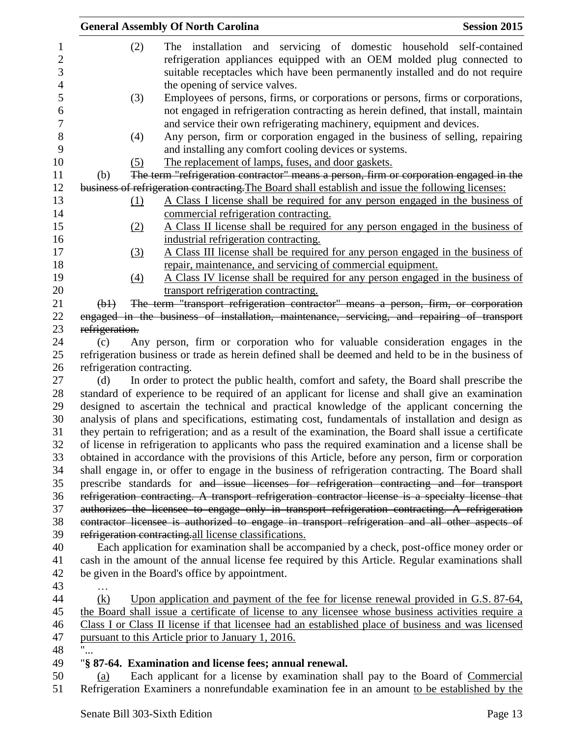| <b>General Assembly Of North Carolina</b><br><b>Session 2015</b>                                       |                                                                                                |                                                                                                     |  |  |  |
|--------------------------------------------------------------------------------------------------------|------------------------------------------------------------------------------------------------|-----------------------------------------------------------------------------------------------------|--|--|--|
|                                                                                                        | (2)                                                                                            | The installation and servicing of domestic household self-contained                                 |  |  |  |
|                                                                                                        |                                                                                                | refrigeration appliances equipped with an OEM molded plug connected to                              |  |  |  |
|                                                                                                        |                                                                                                | suitable receptacles which have been permanently installed and do not require                       |  |  |  |
|                                                                                                        |                                                                                                | the opening of service valves.                                                                      |  |  |  |
|                                                                                                        | (3)                                                                                            | Employees of persons, firms, or corporations or persons, firms or corporations,                     |  |  |  |
|                                                                                                        |                                                                                                | not engaged in refrigeration contracting as herein defined, that install, maintain                  |  |  |  |
|                                                                                                        |                                                                                                | and service their own refrigerating machinery, equipment and devices.                               |  |  |  |
|                                                                                                        | (4)                                                                                            | Any person, firm or corporation engaged in the business of selling, repairing                       |  |  |  |
|                                                                                                        |                                                                                                | and installing any comfort cooling devices or systems.                                              |  |  |  |
|                                                                                                        | (5)                                                                                            | The replacement of lamps, fuses, and door gaskets.                                                  |  |  |  |
| (b)                                                                                                    |                                                                                                | The term "refrigeration contractor" means a person, firm or corporation engaged in the              |  |  |  |
|                                                                                                        |                                                                                                | business of refrigeration contracting. The Board shall establish and issue the following licenses:  |  |  |  |
|                                                                                                        | $\Omega$                                                                                       | A Class I license shall be required for any person engaged in the business of                       |  |  |  |
|                                                                                                        |                                                                                                | commercial refrigeration contracting.                                                               |  |  |  |
|                                                                                                        | (2)                                                                                            | A Class II license shall be required for any person engaged in the business of                      |  |  |  |
|                                                                                                        |                                                                                                | industrial refrigeration contracting.                                                               |  |  |  |
|                                                                                                        | (3)                                                                                            | A Class III license shall be required for any person engaged in the business of                     |  |  |  |
|                                                                                                        |                                                                                                | repair, maintenance, and servicing of commercial equipment.                                         |  |  |  |
|                                                                                                        | $\left(4\right)$                                                                               | A Class IV license shall be required for any person engaged in the business of                      |  |  |  |
|                                                                                                        |                                                                                                | transport refrigeration contracting.                                                                |  |  |  |
| $(\frac{b1}{c})$                                                                                       |                                                                                                | The term "transport refrigeration contractor" means a person, firm, or corporation                  |  |  |  |
|                                                                                                        |                                                                                                | engaged in the business of installation, maintenance, servicing, and repairing of transport         |  |  |  |
| refrigeration.                                                                                         |                                                                                                |                                                                                                     |  |  |  |
| (c)                                                                                                    |                                                                                                | Any person, firm or corporation who for valuable consideration engages in the                       |  |  |  |
|                                                                                                        |                                                                                                | refrigeration business or trade as herein defined shall be deemed and held to be in the business of |  |  |  |
|                                                                                                        | refrigeration contracting.                                                                     |                                                                                                     |  |  |  |
| (d)                                                                                                    |                                                                                                | In order to protect the public health, comfort and safety, the Board shall prescribe the            |  |  |  |
| standard of experience to be required of an applicant for license and shall give an examination        |                                                                                                |                                                                                                     |  |  |  |
| designed to ascertain the technical and practical knowledge of the applicant concerning the            |                                                                                                |                                                                                                     |  |  |  |
| analysis of plans and specifications, estimating cost, fundamentals of installation and design as      |                                                                                                |                                                                                                     |  |  |  |
| they pertain to refrigeration; and as a result of the examination, the Board shall issue a certificate |                                                                                                |                                                                                                     |  |  |  |
| of license in refrigeration to applicants who pass the required examination and a license shall be     |                                                                                                |                                                                                                     |  |  |  |
| obtained in accordance with the provisions of this Article, before any person, firm or corporation     |                                                                                                |                                                                                                     |  |  |  |
|                                                                                                        |                                                                                                | shall engage in, or offer to engage in the business of refrigeration contracting. The Board shall   |  |  |  |
|                                                                                                        |                                                                                                | prescribe standards for and issue licenses for refrigeration contracting and for transport          |  |  |  |
| refrigeration contracting. A transport refrigeration contractor license is a specialty license that    |                                                                                                |                                                                                                     |  |  |  |
|                                                                                                        | authorizes the licensee to engage only in transport refrigeration contracting. A refrigeration |                                                                                                     |  |  |  |
|                                                                                                        |                                                                                                | contractor licensee is authorized to engage in transport refrigeration and all other aspects of     |  |  |  |
|                                                                                                        |                                                                                                | refrigeration contracting-all license classifications.                                              |  |  |  |
|                                                                                                        |                                                                                                | Each application for examination shall be accompanied by a check, post-office money order or        |  |  |  |
| cash in the amount of the annual license fee required by this Article. Regular examinations shall      |                                                                                                |                                                                                                     |  |  |  |
| be given in the Board's office by appointment.                                                         |                                                                                                |                                                                                                     |  |  |  |
|                                                                                                        |                                                                                                |                                                                                                     |  |  |  |
| (k)                                                                                                    |                                                                                                | Upon application and payment of the fee for license renewal provided in G.S. 87-64,                 |  |  |  |
| the Board shall issue a certificate of license to any licensee whose business activities require a     |                                                                                                |                                                                                                     |  |  |  |
|                                                                                                        |                                                                                                | Class I or Class II license if that licensee had an established place of business and was licensed  |  |  |  |
| pursuant to this Article prior to January 1, 2016.                                                     |                                                                                                |                                                                                                     |  |  |  |
| $\mathbf{H}$<br>٠                                                                                      |                                                                                                |                                                                                                     |  |  |  |
|                                                                                                        |                                                                                                | "§ 87-64. Examination and license fees; annual renewal.                                             |  |  |  |
| (a)                                                                                                    |                                                                                                | Each applicant for a license by examination shall pay to the Board of Commercial                    |  |  |  |
|                                                                                                        |                                                                                                | Refrigeration Examiners a nonrefundable examination fee in an amount to be established by the       |  |  |  |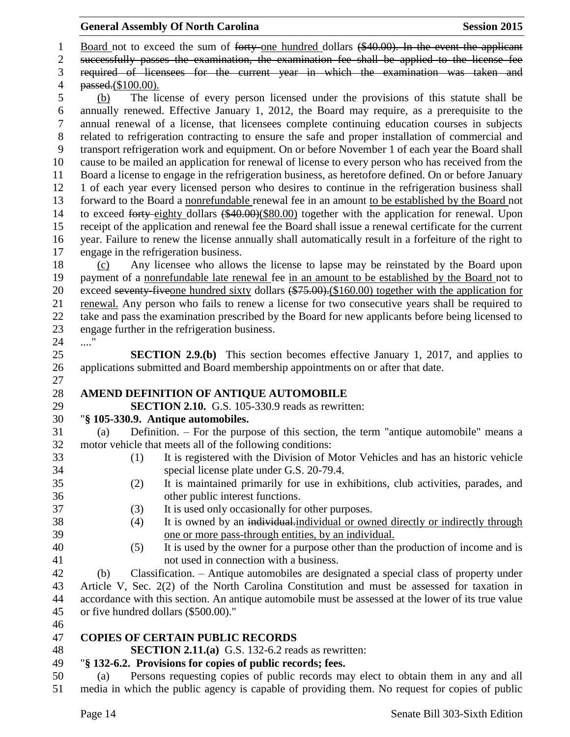1 Board not to exceed the sum of forty one hundred dollars (\$40.00). In the event the applicant

2 successfully passes the examination, the examination fee shall be applied to the license fee

 required of licensees for the current year in which the examination was taken and passed.(\$100.00).

 (b) The license of every person licensed under the provisions of this statute shall be annually renewed. Effective January 1, 2012, the Board may require, as a prerequisite to the annual renewal of a license, that licensees complete continuing education courses in subjects related to refrigeration contracting to ensure the safe and proper installation of commercial and transport refrigeration work and equipment. On or before November 1 of each year the Board shall cause to be mailed an application for renewal of license to every person who has received from the Board a license to engage in the refrigeration business, as heretofore defined. On or before January 1 of each year every licensed person who desires to continue in the refrigeration business shall forward to the Board a nonrefundable renewal fee in an amount to be established by the Board not 14 to exceed forty-eighty dollars (\$40.00)(\$80.00) together with the application for renewal. Upon receipt of the application and renewal fee the Board shall issue a renewal certificate for the current year. Failure to renew the license annually shall automatically result in a forfeiture of the right to engage in the refrigeration business.

 (c) Any licensee who allows the license to lapse may be reinstated by the Board upon payment of a nonrefundable late renewal fee in an amount to be established by the Board not to 20 exceed seventy-five one hundred sixty dollars (\$75.00). (\$160.00) together with the application for renewal. Any person who fails to renew a license for two consecutive years shall be required to take and pass the examination prescribed by the Board for new applicants before being licensed to engage further in the refrigeration business.

...."

 **SECTION 2.9.(b)** This section becomes effective January 1, 2017, and applies to applications submitted and Board membership appointments on or after that date.

## **AMEND DEFINITION OF ANTIQUE AUTOMOBILE**

**SECTION 2.10.** G.S. 105-330.9 reads as rewritten:

## "**§ 105-330.9. Antique automobiles.**

 (a) Definition. – For the purpose of this section, the term "antique automobile" means a motor vehicle that meets all of the following conditions:

- (1) It is registered with the Division of Motor Vehicles and has an historic vehicle special license plate under G.S. 20-79.4.
- (2) It is maintained primarily for use in exhibitions, club activities, parades, and other public interest functions.
- (3) It is used only occasionally for other purposes.
- 38 (4) It is owned by an individual-individual or owned directly or indirectly through one or more pass-through entities, by an individual.
- 
- (5) It is used by the owner for a purpose other than the production of income and is not used in connection with a business.

 (b) Classification. – Antique automobiles are designated a special class of property under Article V, Sec. 2(2) of the North Carolina Constitution and must be assessed for taxation in accordance with this section. An antique automobile must be assessed at the lower of its true value or five hundred dollars (\$500.00)."

## **COPIES OF CERTAIN PUBLIC RECORDS**

**SECTION 2.11.(a)** G.S. 132-6.2 reads as rewritten:

## "**§ 132-6.2. Provisions for copies of public records; fees.**

 (a) Persons requesting copies of public records may elect to obtain them in any and all media in which the public agency is capable of providing them. No request for copies of public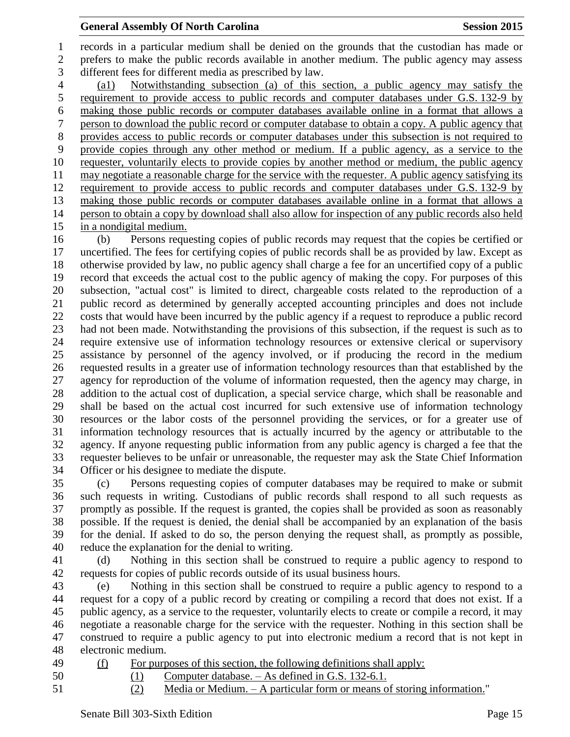records in a particular medium shall be denied on the grounds that the custodian has made or prefers to make the public records available in another medium. The public agency may assess different fees for different media as prescribed by law. (a1) Notwithstanding subsection (a) of this section, a public agency may satisfy the requirement to provide access to public records and computer databases under G.S. 132-9 by making those public records or computer databases available online in a format that allows a person to download the public record or computer database to obtain a copy. A public agency that provides access to public records or computer databases under this subsection is not required to provide copies through any other method or medium. If a public agency, as a service to the requester, voluntarily elects to provide copies by another method or medium, the public agency may negotiate a reasonable charge for the service with the requester. A public agency satisfying its requirement to provide access to public records and computer databases under G.S. 132-9 by making those public records or computer databases available online in a format that allows a person to obtain a copy by download shall also allow for inspection of any public records also held in a nondigital medium.

 (b) Persons requesting copies of public records may request that the copies be certified or uncertified. The fees for certifying copies of public records shall be as provided by law. Except as otherwise provided by law, no public agency shall charge a fee for an uncertified copy of a public record that exceeds the actual cost to the public agency of making the copy. For purposes of this subsection, "actual cost" is limited to direct, chargeable costs related to the reproduction of a public record as determined by generally accepted accounting principles and does not include costs that would have been incurred by the public agency if a request to reproduce a public record had not been made. Notwithstanding the provisions of this subsection, if the request is such as to require extensive use of information technology resources or extensive clerical or supervisory assistance by personnel of the agency involved, or if producing the record in the medium requested results in a greater use of information technology resources than that established by the agency for reproduction of the volume of information requested, then the agency may charge, in addition to the actual cost of duplication, a special service charge, which shall be reasonable and shall be based on the actual cost incurred for such extensive use of information technology resources or the labor costs of the personnel providing the services, or for a greater use of information technology resources that is actually incurred by the agency or attributable to the agency. If anyone requesting public information from any public agency is charged a fee that the requester believes to be unfair or unreasonable, the requester may ask the State Chief Information Officer or his designee to mediate the dispute.

 (c) Persons requesting copies of computer databases may be required to make or submit such requests in writing. Custodians of public records shall respond to all such requests as promptly as possible. If the request is granted, the copies shall be provided as soon as reasonably possible. If the request is denied, the denial shall be accompanied by an explanation of the basis for the denial. If asked to do so, the person denying the request shall, as promptly as possible, reduce the explanation for the denial to writing.

 (d) Nothing in this section shall be construed to require a public agency to respond to requests for copies of public records outside of its usual business hours.

 (e) Nothing in this section shall be construed to require a public agency to respond to a request for a copy of a public record by creating or compiling a record that does not exist. If a public agency, as a service to the requester, voluntarily elects to create or compile a record, it may negotiate a reasonable charge for the service with the requester. Nothing in this section shall be construed to require a public agency to put into electronic medium a record that is not kept in electronic medium.

(f) For purposes of this section, the following definitions shall apply:

(1) Computer database. – As defined in G.S. 132-6.1.

(2) Media or Medium. – A particular form or means of storing information."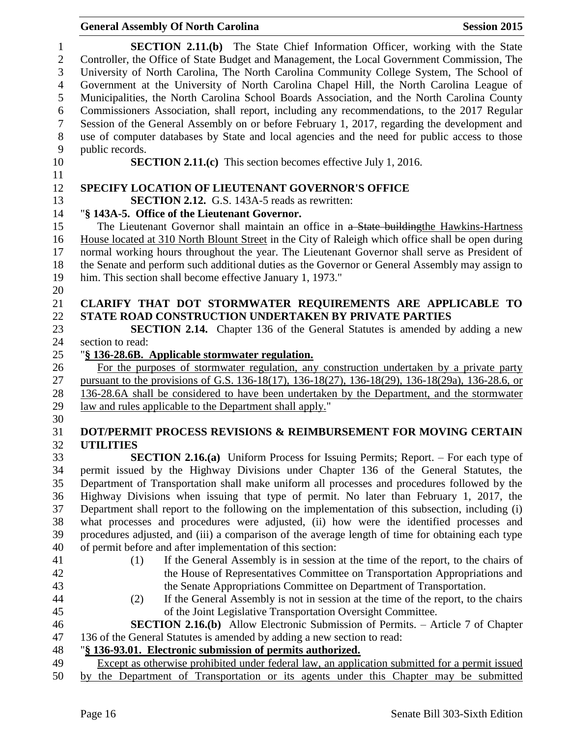| $\mathbf{1}$   | <b>SECTION 2.11.(b)</b> The State Chief Information Officer, working with the State               |
|----------------|---------------------------------------------------------------------------------------------------|
| $\mathbf{2}$   | Controller, the Office of State Budget and Management, the Local Government Commission, The       |
| 3              | University of North Carolina, The North Carolina Community College System, The School of          |
| $\overline{4}$ | Government at the University of North Carolina Chapel Hill, the North Carolina League of          |
| 5              | Municipalities, the North Carolina School Boards Association, and the North Carolina County       |
| 6              | Commissioners Association, shall report, including any recommendations, to the 2017 Regular       |
| $\overline{7}$ | Session of the General Assembly on or before February 1, 2017, regarding the development and      |
| $8\,$          | use of computer databases by State and local agencies and the need for public access to those     |
| 9              | public records.                                                                                   |
| 10             | <b>SECTION 2.11.(c)</b> This section becomes effective July 1, 2016.                              |
| 11             |                                                                                                   |
| 12             | <b>SPECIFY LOCATION OF LIEUTENANT GOVERNOR'S OFFICE</b>                                           |
| 13             | <b>SECTION 2.12.</b> G.S. 143A-5 reads as rewritten:                                              |
| 14             | "§ 143A-5. Office of the Lieutenant Governor.                                                     |
| 15             | The Lieutenant Governor shall maintain an office in a State building the Hawkins-Hartness         |
| 16             | House located at 310 North Blount Street in the City of Raleigh which office shall be open during |
| 17             | normal working hours throughout the year. The Lieutenant Governor shall serve as President of     |
| 18             | the Senate and perform such additional duties as the Governor or General Assembly may assign to   |
| 19             | him. This section shall become effective January 1, 1973."                                        |
| 20             | CLARIFY THAT DOT STORMWATER REQUIREMENTS ARE APPLICABLE TO                                        |
| 21<br>22       | STATE ROAD CONSTRUCTION UNDERTAKEN BY PRIVATE PARTIES                                             |
| 23             | <b>SECTION 2.14.</b> Chapter 136 of the General Statutes is amended by adding a new               |
| 24             | section to read:                                                                                  |
| 25             | "§ 136-28.6B. Applicable stormwater regulation.                                                   |
| 26             | For the purposes of stormwater regulation, any construction undertaken by a private party         |
| 27             | pursuant to the provisions of G.S. 136-18(17), 136-18(27), 136-18(29), 136-18(29a), 136-28.6, or  |
| 28             | 136-28.6A shall be considered to have been undertaken by the Department, and the stormwater       |
| 29             | law and rules applicable to the Department shall apply."                                          |
| 30             |                                                                                                   |
| 31             | DOT/PERMIT PROCESS REVISIONS & REIMBURSEMENT FOR MOVING CERTAIN                                   |
| 32             | <b>UTILITIES</b>                                                                                  |
| 33             | SECTION 2.16.(a) Uniform Process for Issuing Permits; Report. - For each type of                  |
| 34             | permit issued by the Highway Divisions under Chapter 136 of the General Statutes, the             |
| 35             | Department of Transportation shall make uniform all processes and procedures followed by the      |
| 36             | Highway Divisions when issuing that type of permit. No later than February 1, 2017, the           |
| 37             | Department shall report to the following on the implementation of this subsection, including (i)  |
| 38             | what processes and procedures were adjusted, (ii) how were the identified processes and           |
| 39             | procedures adjusted, and (iii) a comparison of the average length of time for obtaining each type |
| 40             | of permit before and after implementation of this section:                                        |
| 41             | If the General Assembly is in session at the time of the report, to the chairs of<br>(1)          |
| 42             | the House of Representatives Committee on Transportation Appropriations and                       |
| 43             | the Senate Appropriations Committee on Department of Transportation.                              |
| 44             | If the General Assembly is not in session at the time of the report, to the chairs<br>(2)         |
| 45             | of the Joint Legislative Transportation Oversight Committee.                                      |
| 46             | <b>SECTION 2.16.(b)</b> Allow Electronic Submission of Permits. - Article 7 of Chapter            |
| 47             | 136 of the General Statutes is amended by adding a new section to read:                           |
| 48             | "§ 136-93.01. Electronic submission of permits authorized.                                        |
| 49<br>$\sim$   | Except as otherwise prohibited under federal law, an application submitted for a permit issued    |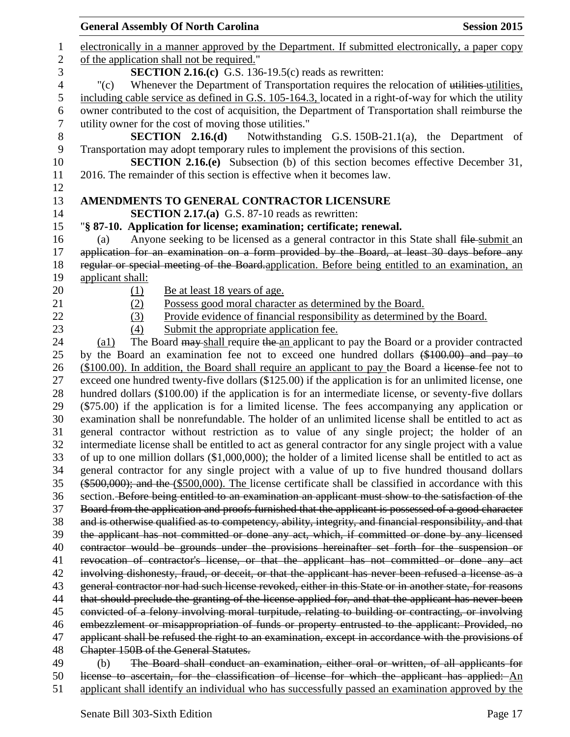|                | <b>General Assembly Of North Carolina</b>                                                                                                                                                                    | <b>Session 2015</b> |
|----------------|--------------------------------------------------------------------------------------------------------------------------------------------------------------------------------------------------------------|---------------------|
| $\mathbf 1$    | electronically in a manner approved by the Department. If submitted electronically, a paper copy                                                                                                             |                     |
| $\mathbf{2}$   | of the application shall not be required."                                                                                                                                                                   |                     |
| 3              | <b>SECTION 2.16.(c)</b> G.S. 136-19.5(c) reads as rewritten:                                                                                                                                                 |                     |
| $\overline{4}$ | Whenever the Department of Transportation requires the relocation of utilities utilities,<br>" $(c)$                                                                                                         |                     |
| 5              | including cable service as defined in G.S. 105-164.3, located in a right-of-way for which the utility                                                                                                        |                     |
| 6              | owner contributed to the cost of acquisition, the Department of Transportation shall reimburse the                                                                                                           |                     |
| $\overline{7}$ | utility owner for the cost of moving those utilities."                                                                                                                                                       |                     |
| $8\,$          | <b>SECTION</b> 2.16.(d) Notwithstanding G.S. 150B-21.1(a), the Department of                                                                                                                                 |                     |
| 9              | Transportation may adopt temporary rules to implement the provisions of this section.                                                                                                                        |                     |
| 10             | <b>SECTION 2.16.(e)</b> Subsection (b) of this section becomes effective December 31,                                                                                                                        |                     |
| 11             | 2016. The remainder of this section is effective when it becomes law.                                                                                                                                        |                     |
| 12             |                                                                                                                                                                                                              |                     |
| 13             | AMENDMENTS TO GENERAL CONTRACTOR LICENSURE                                                                                                                                                                   |                     |
| 14             | <b>SECTION 2.17.(a)</b> G.S. 87-10 reads as rewritten:                                                                                                                                                       |                     |
| 15             | "§ 87-10. Application for license; examination; certificate; renewal.                                                                                                                                        |                     |
| 16             | Anyone seeking to be licensed as a general contractor in this State shall file-submit an<br>(a)                                                                                                              |                     |
| 17             | application for an examination on a form provided by the Board, at least 30 days before any                                                                                                                  |                     |
| 18             | regular or special meeting of the Board-application. Before being entitled to an examination, an                                                                                                             |                     |
| 19             | applicant shall:                                                                                                                                                                                             |                     |
| 20             | Be at least 18 years of age.<br>(1)                                                                                                                                                                          |                     |
| 21             | Possess good moral character as determined by the Board.<br>(2)                                                                                                                                              |                     |
| 22             | Provide evidence of financial responsibility as determined by the Board.<br>(3)                                                                                                                              |                     |
| 23             | (4)<br>Submit the appropriate application fee.                                                                                                                                                               |                     |
| 24             | The Board may shall require the an applicant to pay the Board or a provider contracted<br>$\left( a1\right)$                                                                                                 |                     |
| 25<br>26       | by the Board an examination fee not to exceed one hundred dollars (\$100.00) and pay to                                                                                                                      |                     |
| 27             | (\$100.00). In addition, the Board shall require an applicant to pay the Board a license-fee not to<br>exceed one hundred twenty-five dollars (\$125.00) if the application is for an unlimited license, one |                     |
| 28             | hundred dollars (\$100.00) if the application is for an intermediate license, or seventy-five dollars                                                                                                        |                     |
| 29             | (\$75.00) if the application is for a limited license. The fees accompanying any application or                                                                                                              |                     |
| 30             | examination shall be nonrefundable. The holder of an unlimited license shall be entitled to act as                                                                                                           |                     |
| 31             | general contractor without restriction as to value of any single project; the holder of an                                                                                                                   |                     |
| 32             | intermediate license shall be entitled to act as general contractor for any single project with a value                                                                                                      |                     |
| 33             | of up to one million dollars $(\$1,000,000)$ ; the holder of a limited license shall be entitled to act as                                                                                                   |                     |
| 34             | general contractor for any single project with a value of up to five hundred thousand dollars                                                                                                                |                     |
| 35             | $(*500,000)$ ; and the $(*500,000)$ . The license certificate shall be classified in accordance with this                                                                                                    |                     |
| 36             | section. Before being entitled to an examination an applicant must show to the satisfaction of the                                                                                                           |                     |
| 37             | Board from the application and proofs furnished that the applicant is possessed of a good character                                                                                                          |                     |
| 38             | and is otherwise qualified as to competency, ability, integrity, and financial responsibility, and that                                                                                                      |                     |
| 39             | the applicant has not committed or done any act, which, if committed or done by any licensed                                                                                                                 |                     |
| 40             | contractor would be grounds under the provisions hereinafter set forth for the suspension or                                                                                                                 |                     |
| 41             | revocation of contractor's license, or that the applicant has not committed or done any act                                                                                                                  |                     |
| 42             | involving dishonesty, fraud, or deceit, or that the applicant has never been refused a license as a                                                                                                          |                     |
| 43             | general contractor nor had such license revoked, either in this State or in another state, for reasons                                                                                                       |                     |
| 44             | that should preclude the granting of the license applied for, and that the applicant has never been                                                                                                          |                     |
| 45             | convicted of a felony involving moral turpitude, relating to building or contracting, or involving                                                                                                           |                     |
| 46             | embezzlement or misappropriation of funds or property entrusted to the applicant: Provided, no                                                                                                               |                     |
| 47             | applicant shall be refused the right to an examination, except in accordance with the provisions of                                                                                                          |                     |
| 48             | Chapter 150B of the General Statutes.                                                                                                                                                                        |                     |
| 49<br>50       | The Board shall conduct an examination, either oral or written, of all applicants for<br>(b)<br>license to ascertain, for the classification of license for which the applicant has applied: An              |                     |
|                |                                                                                                                                                                                                              |                     |

applicant shall identify an individual who has successfully passed an examination approved by the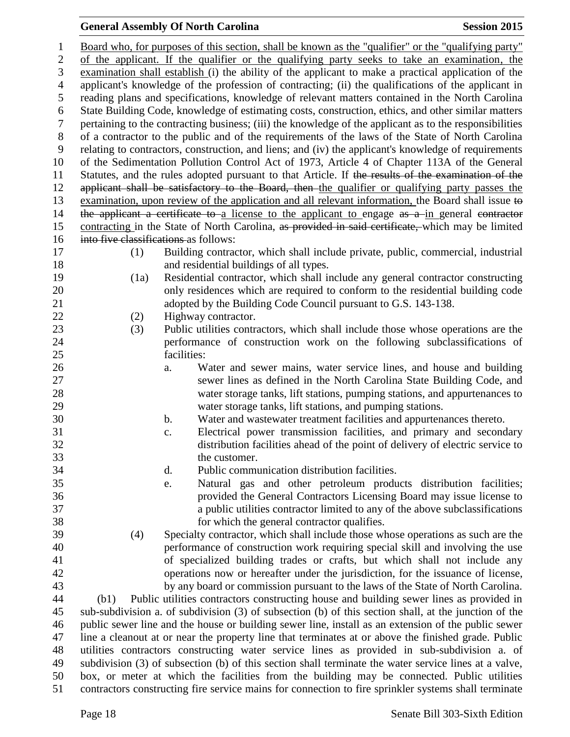Board who, for purposes of this section, shall be known as the "qualifier" or the "qualifying party" of the applicant. If the qualifier or the qualifying party seeks to take an examination, the examination shall establish (i) the ability of the applicant to make a practical application of the applicant's knowledge of the profession of contracting; (ii) the qualifications of the applicant in reading plans and specifications, knowledge of relevant matters contained in the North Carolina State Building Code, knowledge of estimating costs, construction, ethics, and other similar matters pertaining to the contracting business; (iii) the knowledge of the applicant as to the responsibilities of a contractor to the public and of the requirements of the laws of the State of North Carolina relating to contractors, construction, and liens; and (iv) the applicant's knowledge of requirements of the Sedimentation Pollution Control Act of 1973, Article 4 of Chapter 113A of the General Statutes, and the rules adopted pursuant to that Article. If the results of the examination of the 12 applicant shall be satisfactory to the Board, then the qualifier or qualifying party passes the examination, upon review of the application and all relevant information, the Board shall issue to 14 the applicant a certificate to a license to the applicant to engage as a in general contractor contracting in the State of North Carolina, as provided in said certificate, which may be limited into five classifications as follows: (1) Building contractor, which shall include private, public, commercial, industrial and residential buildings of all types. (1a) Residential contractor, which shall include any general contractor constructing only residences which are required to conform to the residential building code 21 adopted by the Building Code Council pursuant to G.S. 143-138. 22 (2) Highway contractor. (3) Public utilities contractors, which shall include those whose operations are the performance of construction work on the following subclassifications of facilities: a. Water and sewer mains, water service lines, and house and building sewer lines as defined in the North Carolina State Building Code, and water storage tanks, lift stations, pumping stations, and appurtenances to water storage tanks, lift stations, and pumping stations. b. Water and wastewater treatment facilities and appurtenances thereto. c. Electrical power transmission facilities, and primary and secondary distribution facilities ahead of the point of delivery of electric service to the customer. d. Public communication distribution facilities. e. Natural gas and other petroleum products distribution facilities; provided the General Contractors Licensing Board may issue license to a public utilities contractor limited to any of the above subclassifications for which the general contractor qualifies. (4) Specialty contractor, which shall include those whose operations as such are the performance of construction work requiring special skill and involving the use of specialized building trades or crafts, but which shall not include any operations now or hereafter under the jurisdiction, for the issuance of license, by any board or commission pursuant to the laws of the State of North Carolina. (b1) Public utilities contractors constructing house and building sewer lines as provided in sub-subdivision a. of subdivision (3) of subsection (b) of this section shall, at the junction of the public sewer line and the house or building sewer line, install as an extension of the public sewer line a cleanout at or near the property line that terminates at or above the finished grade. Public utilities contractors constructing water service lines as provided in sub-subdivision a. of subdivision (3) of subsection (b) of this section shall terminate the water service lines at a valve, box, or meter at which the facilities from the building may be connected. Public utilities contractors constructing fire service mains for connection to fire sprinkler systems shall terminate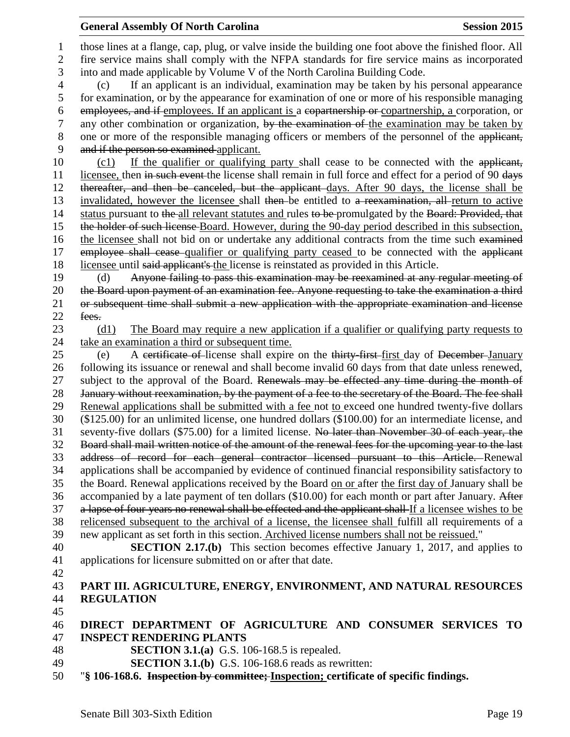those lines at a flange, cap, plug, or valve inside the building one foot above the finished floor. All fire service mains shall comply with the NFPA standards for fire service mains as incorporated into and made applicable by Volume V of the North Carolina Building Code. (c) If an applicant is an individual, examination may be taken by his personal appearance for examination, or by the appearance for examination of one or more of his responsible managing employees, and if employees. If an applicant is a copartnership or copartnership, a corporation, or 7 any other combination or organization, by the examination of the examination may be taken by 8 one or more of the responsible managing officers or members of the personnel of the applicant, and if the person so examined applicant. 10 (c1) If the qualifier or qualifying party shall cease to be connected with the applicant, 11 licensee, then in such event the license shall remain in full force and effect for a period of 90 days thereafter, and then be canceled, but the applicant days. After 90 days, the license shall be invalidated, however the licensee shall then be entitled to a reexamination, all return to active 14 status pursuant to the all relevant statutes and rules to be promulgated by the Board: Provided, that the holder of such license Board. However, during the 90-day period described in this subsection, 16 the licensee shall not bid on or undertake any additional contracts from the time such examined 17 employee shall cease qualifier or qualifying party ceased to be connected with the applicant licensee until said applicant's the license is reinstated as provided in this Article. (d) Anyone failing to pass this examination may be reexamined at any regular meeting of the Board upon payment of an examination fee. Anyone requesting to take the examination a third or subsequent time shall submit a new application with the appropriate examination and license 22 fees. (d1) The Board may require a new application if a qualifier or qualifying party requests to take an examination a third or subsequent time. (e) A certificate of license shall expire on the thirty-first first day of December January following its issuance or renewal and shall become invalid 60 days from that date unless renewed, 27 subject to the approval of the Board. Renewals may be effected any time during the month of 28 January without reexamination, by the payment of a fee to the secretary of the Board. The fee shall Renewal applications shall be submitted with a fee not to exceed one hundred twenty-five dollars (\$125.00) for an unlimited license, one hundred dollars (\$100.00) for an intermediate license, and seventy-five dollars (\$75.00) for a limited license. No later than November 30 of each year, the Board shall mail written notice of the amount of the renewal fees for the upcoming year to the last address of record for each general contractor licensed pursuant to this Article. Renewal applications shall be accompanied by evidence of continued financial responsibility satisfactory to the Board. Renewal applications received by the Board on or after the first day of January shall be 36 accompanied by a late payment of ten dollars (\$10.00) for each month or part after January. After a lapse of four years no renewal shall be effected and the applicant shall If a licensee wishes to be relicensed subsequent to the archival of a license, the licensee shall fulfill all requirements of a new applicant as set forth in this section. Archived license numbers shall not be reissued." **SECTION 2.17.(b)** This section becomes effective January 1, 2017, and applies to applications for licensure submitted on or after that date. **PART III. AGRICULTURE, ENERGY, ENVIRONMENT, AND NATURAL RESOURCES REGULATION DIRECT DEPARTMENT OF AGRICULTURE AND CONSUMER SERVICES TO INSPECT RENDERING PLANTS SECTION 3.1.(a)** G.S. 106-168.5 is repealed. **SECTION 3.1.(b)** G.S. 106-168.6 reads as rewritten:

"**§ 106-168.6. Inspection by committee; Inspection; certificate of specific findings.**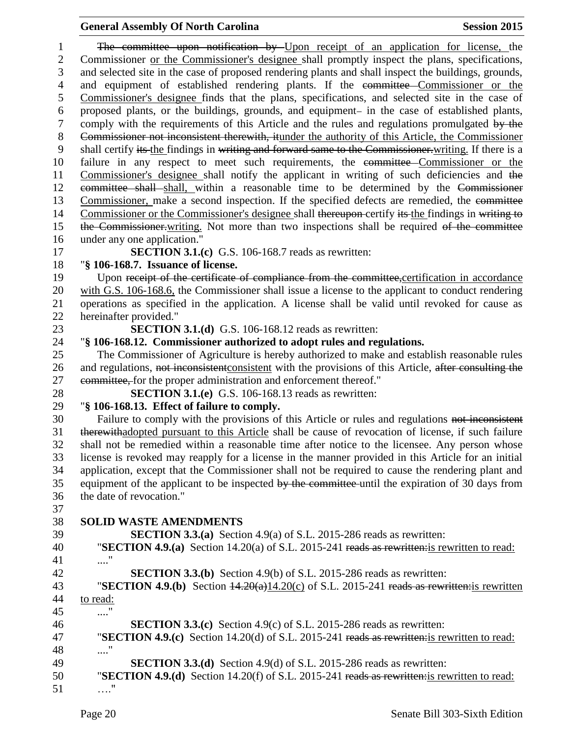| $\mathbf{1}$   | The committee upon notification by Upon receipt of an application for license, the                                                                                               |
|----------------|----------------------------------------------------------------------------------------------------------------------------------------------------------------------------------|
| $\overline{2}$ | Commissioner or the Commissioner's designee shall promptly inspect the plans, specifications,                                                                                    |
| 3              | and selected site in the case of proposed rendering plants and shall inspect the buildings, grounds,                                                                             |
| $\overline{4}$ | and equipment of established rendering plants. If the committee Commissioner or the                                                                                              |
| 5              | Commissioner's designee finds that the plans, specifications, and selected site in the case of                                                                                   |
| 6              | proposed plants, or the buildings, grounds, and equipment- in the case of established plants,                                                                                    |
| 7              | comply with the requirements of this Article and the rules and regulations promulgated by the                                                                                    |
| $8\,$          | Commissioner not inconsistent therewith, it under the authority of this Article, the Commissioner                                                                                |
| 9              | shall certify its the findings in writing and forward same to the Commissioner writing. If there is a                                                                            |
| 10             | failure in any respect to meet such requirements, the committee Commissioner or the                                                                                              |
| 11             | Commissioner's designee shall notify the applicant in writing of such deficiencies and the                                                                                       |
| 12             | eommittee shall shall, within a reasonable time to be determined by the Commissioner                                                                                             |
| 13             | Commissioner, make a second inspection. If the specified defects are remedied, the committee                                                                                     |
| 14             | Commissioner or the Commissioner's designee shall thereupon-certify its the findings in writing to                                                                               |
| 15             | the Commissioner writing. Not more than two inspections shall be required of the committee                                                                                       |
| 16             | under any one application."                                                                                                                                                      |
| 17             | <b>SECTION 3.1.(c)</b> G.S. 106-168.7 reads as rewritten:                                                                                                                        |
| 18             | "§ 106-168.7. Issuance of license.                                                                                                                                               |
| 19             | Upon receipt of the certificate of compliance from the committee, certification in accordance                                                                                    |
| 20<br>21       | with G.S. 106-168.6, the Commissioner shall issue a license to the applicant to conduct rendering                                                                                |
| 22             | operations as specified in the application. A license shall be valid until revoked for cause as<br>hereinafter provided."                                                        |
| 23             | <b>SECTION 3.1.(d)</b> G.S. 106-168.12 reads as rewritten:                                                                                                                       |
| 24             | "§ 106-168.12. Commissioner authorized to adopt rules and regulations.                                                                                                           |
| 25             | The Commissioner of Agriculture is hereby authorized to make and establish reasonable rules                                                                                      |
| 26             | and regulations, not inconsistent consistent with the provisions of this Article, after consulting the                                                                           |
| 27             | eommittee, for the proper administration and enforcement thereof."                                                                                                               |
| 28             | <b>SECTION 3.1.(e)</b> G.S. 106-168.13 reads as rewritten:                                                                                                                       |
| 29             | "§ 106-168.13. Effect of failure to comply.                                                                                                                                      |
| 30             | Failure to comply with the provisions of this Article or rules and regulations not inconsistent                                                                                  |
| 31             | therewithadopted pursuant to this Article shall be cause of revocation of license, if such failure                                                                               |
| 32             | shall not be remedied within a reasonable time after notice to the licensee. Any person whose                                                                                    |
| 33             | license is revoked may reapply for a license in the manner provided in this Article for an initial                                                                               |
| 34             | application, except that the Commissioner shall not be required to cause the rendering plant and                                                                                 |
| 35             | equipment of the applicant to be inspected by the committee until the expiration of 30 days from                                                                                 |
| 36             | the date of revocation."                                                                                                                                                         |
| 37             |                                                                                                                                                                                  |
| 38             | <b>SOLID WASTE AMENDMENTS</b>                                                                                                                                                    |
| 39             | <b>SECTION 3.3.(a)</b> Section 4.9(a) of S.L. 2015-286 reads as rewritten:                                                                                                       |
| 40             | "SECTION 4.9.(a) Section 14.20(a) of S.L. 2015-241 reads as rewritten: is rewritten to read:                                                                                     |
| 41             | "                                                                                                                                                                                |
| 42             | <b>SECTION 3.3.(b)</b> Section 4.9(b) of S.L. 2015-286 reads as rewritten:                                                                                                       |
| 43             | "SECTION 4.9.(b) Section $\frac{14.20(a)}{14.20(c)}$ of S.L. 2015-241 reads as rewritteneris rewritten                                                                           |
| 44             | to read:                                                                                                                                                                         |
| 45             | $\ldots$ "                                                                                                                                                                       |
| 46             | <b>SECTION 3.3.(c)</b> Section 4.9(c) of S.L. 2015-286 reads as rewritten:                                                                                                       |
| 47             | "SECTION 4.9.(c) Section 14.20(d) of S.L. 2015-241 reads as rewritten: is rewritten to read:                                                                                     |
| 48             | $\ldots''$                                                                                                                                                                       |
| 49<br>50       | <b>SECTION 3.3.(d)</b> Section 4.9(d) of S.L. 2015-286 reads as rewritten:<br><b>"SECTION 4.9.(d)</b> Section 14.20(f) of S.L. 2015-241 reads as rewritten is rewritten to read: |
| 51             |                                                                                                                                                                                  |
|                |                                                                                                                                                                                  |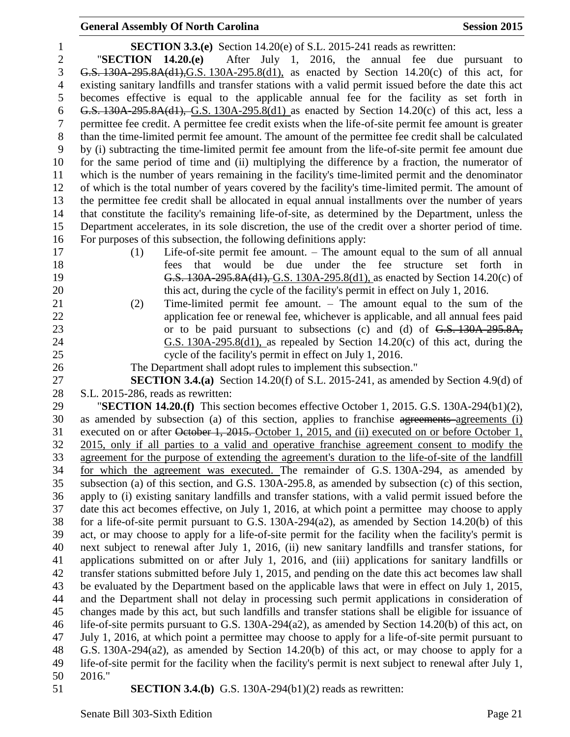| 1                | <b>SECTION 3.3.(e)</b> Section 14.20(e) of S.L. 2015-241 reads as rewritten:                                                                                 |
|------------------|--------------------------------------------------------------------------------------------------------------------------------------------------------------|
| $\mathbf{2}$     | After July 1, 2016, the annual fee due<br>"SECTION $14.20(e)$<br>pursuant to                                                                                 |
| 3                | G.S. $130A-295.8A(d1)$ , G.S. $130A-295.8(d1)$ , as enacted by Section 14.20(c) of this act, for                                                             |
| $\overline{4}$   | existing sanitary landfills and transfer stations with a valid permit issued before the date this act                                                        |
| 5                | becomes effective is equal to the applicable annual fee for the facility as set forth in                                                                     |
| 6                | G.S. $130A-295.8A(d1)$ , G.S. $130A-295.8(d1)$ as enacted by Section 14.20(c) of this act, less a                                                            |
| $\boldsymbol{7}$ | permittee fee credit. A permittee fee credit exists when the life-of-site permit fee amount is greater                                                       |
| $8\,$            | than the time-limited permit fee amount. The amount of the permittee fee credit shall be calculated                                                          |
| 9                | by (i) subtracting the time-limited permit fee amount from the life-of-site permit fee amount due                                                            |
| 10               | for the same period of time and (ii) multiplying the difference by a fraction, the numerator of                                                              |
| 11               | which is the number of years remaining in the facility's time-limited permit and the denominator                                                             |
| 12               | of which is the total number of years covered by the facility's time-limited permit. The amount of                                                           |
| 13               | the permittee fee credit shall be allocated in equal annual installments over the number of years                                                            |
| 14               | that constitute the facility's remaining life-of-site, as determined by the Department, unless the                                                           |
| 15               | Department accelerates, in its sole discretion, the use of the credit over a shorter period of time.                                                         |
| 16               | For purposes of this subsection, the following definitions apply:                                                                                            |
| 17               | Life-of-site permit fee amount. - The amount equal to the sum of all annual<br>(1)                                                                           |
| 18               | that would be due under the fee structure<br>set<br>forth<br>fees<br>in                                                                                      |
| 19               | G.S. 130A-295.8A(d1), G.S. 130A-295.8(d1), as enacted by Section 14.20(c) of                                                                                 |
| 20               | this act, during the cycle of the facility's permit in effect on July 1, 2016.                                                                               |
| 21               | Time-limited permit fee amount. $-$ The amount equal to the sum of the<br>(2)                                                                                |
| 22               | application fee or renewal fee, whichever is applicable, and all annual fees paid                                                                            |
| 23               | or to be paid pursuant to subsections (c) and (d) of G.S. 130A-295.8A,                                                                                       |
| 24               | G.S. $130A-295.8(d1)$ , as repealed by Section $14.20(c)$ of this act, during the                                                                            |
| 25               | cycle of the facility's permit in effect on July 1, 2016.                                                                                                    |
| 26<br>27         | The Department shall adopt rules to implement this subsection."<br><b>SECTION 3.4.(a)</b> Section 14.20(f) of S.L. 2015-241, as amended by Section 4.9(d) of |
| 28               | S.L. 2015-286, reads as rewritten:                                                                                                                           |
| 29               | "SECTION 14.20.(f) This section becomes effective October 1, 2015. G.S. 130A-294(b1)(2),                                                                     |
| 30               | as amended by subsection (a) of this section, applies to franchise agreements agreements (i)                                                                 |
| 31               | executed on or after October 1, 2015. October 1, 2015, and (ii) executed on or before October 1,                                                             |
| 32               | 2015, only if all parties to a valid and operative franchise agreement consent to modify the                                                                 |
| 33               | agreement for the purpose of extending the agreement's duration to the life-of-site of the landfill                                                          |
| 34               | for which the agreement was executed. The remainder of G.S. 130A-294, as amended by                                                                          |
| 35               | subsection (a) of this section, and G.S. 130A-295.8, as amended by subsection (c) of this section,                                                           |
| 36               | apply to (i) existing sanitary landfills and transfer stations, with a valid permit issued before the                                                        |
| 37               | date this act becomes effective, on July 1, 2016, at which point a permittee may choose to apply                                                             |
| 38               | for a life-of-site permit pursuant to G.S. 130A-294(a2), as amended by Section 14.20(b) of this                                                              |
| 39               | act, or may choose to apply for a life-of-site permit for the facility when the facility's permit is                                                         |
| 40               | next subject to renewal after July 1, 2016, (ii) new sanitary landfills and transfer stations, for                                                           |
| 41               | applications submitted on or after July 1, 2016, and (iii) applications for sanitary landfills or                                                            |
| 42               | transfer stations submitted before July 1, 2015, and pending on the date this act becomes law shall                                                          |
| 43               | be evaluated by the Department based on the applicable laws that were in effect on July 1, 2015,                                                             |
| 44               | and the Department shall not delay in processing such permit applications in consideration of                                                                |
| 45               | changes made by this act, but such landfills and transfer stations shall be eligible for issuance of                                                         |
| 46               | life-of-site permits pursuant to G.S. 130A-294( $a2$ ), as amended by Section 14.20(b) of this act, on                                                       |
| 47               | July 1, 2016, at which point a permittee may choose to apply for a life-of-site permit pursuant to                                                           |
| 48               | G.S. 130A-294(a2), as amended by Section 14.20(b) of this act, or may choose to apply for a                                                                  |
| 49               | life-of-site permit for the facility when the facility's permit is next subject to renewal after July 1,                                                     |
| 50               | 2016."                                                                                                                                                       |
| 51               | <b>SECTION 3.4.(b)</b> G.S. 130A-294(b1)(2) reads as rewritten:                                                                                              |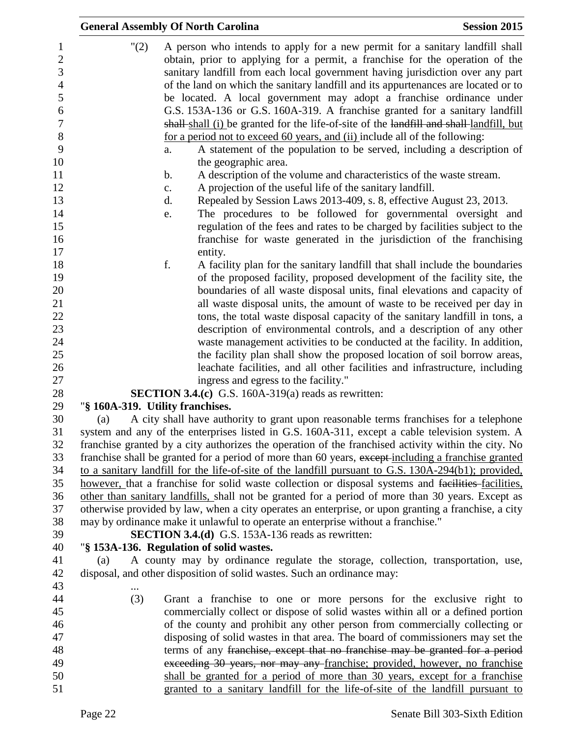|                                  | <b>General Assembly Of North Carolina</b>                                                                                                                                                                                                                                                                                                                                                                                                                                                                                                                                              | <b>Session 2015</b> |
|----------------------------------|----------------------------------------------------------------------------------------------------------------------------------------------------------------------------------------------------------------------------------------------------------------------------------------------------------------------------------------------------------------------------------------------------------------------------------------------------------------------------------------------------------------------------------------------------------------------------------------|---------------------|
| "(2)                             | A person who intends to apply for a new permit for a sanitary landfill shall<br>obtain, prior to applying for a permit, a franchise for the operation of the<br>sanitary landfill from each local government having jurisdiction over any part<br>of the land on which the sanitary landfill and its appurtenances are located or to<br>be located. A local government may adopt a franchise ordinance under<br>G.S. 153A-136 or G.S. 160A-319. A franchise granted for a sanitary landfill<br>shall shall (i) be granted for the life-of-site of the landfill and shall landfill, but |                     |
|                                  | for a period not to exceed 60 years, and (ii) include all of the following:<br>A statement of the population to be served, including a description of<br>a.                                                                                                                                                                                                                                                                                                                                                                                                                            |                     |
|                                  | the geographic area.                                                                                                                                                                                                                                                                                                                                                                                                                                                                                                                                                                   |                     |
|                                  | A description of the volume and characteristics of the waste stream.<br>b.                                                                                                                                                                                                                                                                                                                                                                                                                                                                                                             |                     |
|                                  | A projection of the useful life of the sanitary landfill.<br>$\mathbf{c}$ .                                                                                                                                                                                                                                                                                                                                                                                                                                                                                                            |                     |
|                                  | Repealed by Session Laws 2013-409, s. 8, effective August 23, 2013.<br>d.                                                                                                                                                                                                                                                                                                                                                                                                                                                                                                              |                     |
|                                  | The procedures to be followed for governmental oversight and<br>e.                                                                                                                                                                                                                                                                                                                                                                                                                                                                                                                     |                     |
|                                  | regulation of the fees and rates to be charged by facilities subject to the                                                                                                                                                                                                                                                                                                                                                                                                                                                                                                            |                     |
|                                  | franchise for waste generated in the jurisdiction of the franchising                                                                                                                                                                                                                                                                                                                                                                                                                                                                                                                   |                     |
|                                  | entity.<br>f.<br>A facility plan for the sanitary landfill that shall include the boundaries                                                                                                                                                                                                                                                                                                                                                                                                                                                                                           |                     |
|                                  | of the proposed facility, proposed development of the facility site, the                                                                                                                                                                                                                                                                                                                                                                                                                                                                                                               |                     |
|                                  | boundaries of all waste disposal units, final elevations and capacity of                                                                                                                                                                                                                                                                                                                                                                                                                                                                                                               |                     |
|                                  | all waste disposal units, the amount of waste to be received per day in                                                                                                                                                                                                                                                                                                                                                                                                                                                                                                                |                     |
|                                  | tons, the total waste disposal capacity of the sanitary landfill in tons, a                                                                                                                                                                                                                                                                                                                                                                                                                                                                                                            |                     |
|                                  | description of environmental controls, and a description of any other                                                                                                                                                                                                                                                                                                                                                                                                                                                                                                                  |                     |
|                                  | waste management activities to be conducted at the facility. In addition,                                                                                                                                                                                                                                                                                                                                                                                                                                                                                                              |                     |
|                                  | the facility plan shall show the proposed location of soil borrow areas,<br>leachate facilities, and all other facilities and infrastructure, including                                                                                                                                                                                                                                                                                                                                                                                                                                |                     |
|                                  | ingress and egress to the facility."                                                                                                                                                                                                                                                                                                                                                                                                                                                                                                                                                   |                     |
|                                  | <b>SECTION 3.4.(c)</b> G.S. 160A-319(a) reads as rewritten:                                                                                                                                                                                                                                                                                                                                                                                                                                                                                                                            |                     |
| "§ 160A-319. Utility franchises. |                                                                                                                                                                                                                                                                                                                                                                                                                                                                                                                                                                                        |                     |
| (a)                              | A city shall have authority to grant upon reasonable terms franchises for a telephone                                                                                                                                                                                                                                                                                                                                                                                                                                                                                                  |                     |
|                                  | system and any of the enterprises listed in G.S. 160A-311, except a cable television system. A<br>franchise granted by a city authorizes the operation of the franchised activity within the city. No                                                                                                                                                                                                                                                                                                                                                                                  |                     |
|                                  | franchise shall be granted for a period of more than 60 years, except-including a franchise granted<br>to a sanitary landfill for the life-of-site of the landfill pursuant to G.S. 130A-294(b1); provided,                                                                                                                                                                                                                                                                                                                                                                            |                     |
|                                  | however, that a franchise for solid waste collection or disposal systems and facilities-facilities,                                                                                                                                                                                                                                                                                                                                                                                                                                                                                    |                     |
|                                  | other than sanitary landfills, shall not be granted for a period of more than 30 years. Except as                                                                                                                                                                                                                                                                                                                                                                                                                                                                                      |                     |
|                                  | otherwise provided by law, when a city operates an enterprise, or upon granting a franchise, a city                                                                                                                                                                                                                                                                                                                                                                                                                                                                                    |                     |
|                                  | may by ordinance make it unlawful to operate an enterprise without a franchise."                                                                                                                                                                                                                                                                                                                                                                                                                                                                                                       |                     |
|                                  | <b>SECTION 3.4.(d)</b> G.S. 153A-136 reads as rewritten:                                                                                                                                                                                                                                                                                                                                                                                                                                                                                                                               |                     |
|                                  | "§ 153A-136. Regulation of solid wastes.<br>A county may by ordinance regulate the storage, collection, transportation, use,                                                                                                                                                                                                                                                                                                                                                                                                                                                           |                     |
| (a)                              | disposal, and other disposition of solid wastes. Such an ordinance may:                                                                                                                                                                                                                                                                                                                                                                                                                                                                                                                |                     |
|                                  |                                                                                                                                                                                                                                                                                                                                                                                                                                                                                                                                                                                        |                     |
| (3)                              | Grant a franchise to one or more persons for the exclusive right to                                                                                                                                                                                                                                                                                                                                                                                                                                                                                                                    |                     |
|                                  | commercially collect or dispose of solid wastes within all or a defined portion                                                                                                                                                                                                                                                                                                                                                                                                                                                                                                        |                     |
|                                  | of the county and prohibit any other person from commercially collecting or<br>disposing of solid wastes in that area. The board of commissioners may set the                                                                                                                                                                                                                                                                                                                                                                                                                          |                     |
|                                  | terms of any franchise, except that no franchise may be granted for a period                                                                                                                                                                                                                                                                                                                                                                                                                                                                                                           |                     |
|                                  | exceeding 30 years, nor may any franchise; provided, however, no franchise                                                                                                                                                                                                                                                                                                                                                                                                                                                                                                             |                     |
|                                  | shall be granted for a period of more than 30 years, except for a franchise                                                                                                                                                                                                                                                                                                                                                                                                                                                                                                            |                     |
|                                  | granted to a sanitary landfill for the life-of-site of the landfill pursuant to                                                                                                                                                                                                                                                                                                                                                                                                                                                                                                        |                     |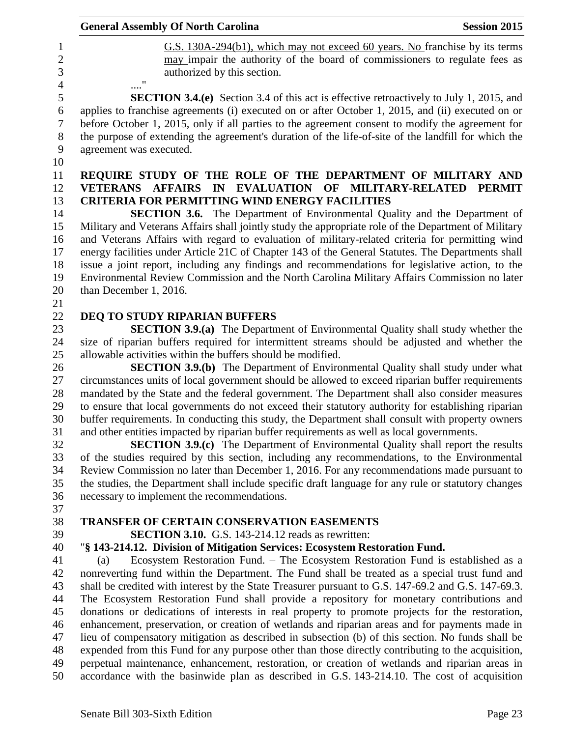|     | <b>General Assembly Of North Carolina</b>                                                                                                                                                             | <b>Session 2015</b> |
|-----|-------------------------------------------------------------------------------------------------------------------------------------------------------------------------------------------------------|---------------------|
|     | G.S. 130A-294(b1), which may not exceed 60 years. No franchise by its terms                                                                                                                           |                     |
|     | may impair the authority of the board of commissioners to regulate fees as<br>authorized by this section.                                                                                             |                     |
|     | <b>SECTION 3.4.(e)</b> Section 3.4 of this act is effective retroactively to July 1, 2015, and                                                                                                        |                     |
|     | applies to franchise agreements (i) executed on or after October 1, 2015, and (ii) executed on or<br>before October 1, 2015, only if all parties to the agreement consent to modify the agreement for |                     |
|     | the purpose of extending the agreement's duration of the life-of-site of the landfill for which the<br>agreement was executed.                                                                        |                     |
|     | REQUIRE STUDY OF THE ROLE OF THE DEPARTMENT OF MILITARY AND<br>VETERANS AFFAIRS IN EVALUATION OF MILITARY-RELATED PERMIT                                                                              |                     |
|     | <b>CRITERIA FOR PERMITTING WIND ENERGY FACILITIES</b>                                                                                                                                                 |                     |
|     | <b>SECTION 3.6.</b> The Department of Environmental Quality and the Department of                                                                                                                     |                     |
|     | Military and Veterans Affairs shall jointly study the appropriate role of the Department of Military                                                                                                  |                     |
|     | and Veterans Affairs with regard to evaluation of military-related criteria for permitting wind                                                                                                       |                     |
|     | energy facilities under Article 21C of Chapter 143 of the General Statutes. The Departments shall<br>issue a joint report, including any findings and recommendations for legislative action, to the  |                     |
|     | Environmental Review Commission and the North Carolina Military Affairs Commission no later                                                                                                           |                     |
|     | than December 1, 2016.                                                                                                                                                                                |                     |
|     |                                                                                                                                                                                                       |                     |
|     | DEQ TO STUDY RIPARIAN BUFFERS                                                                                                                                                                         |                     |
|     | <b>SECTION 3.9.(a)</b> The Department of Environmental Quality shall study whether the                                                                                                                |                     |
|     | size of riparian buffers required for intermittent streams should be adjusted and whether the                                                                                                         |                     |
|     | allowable activities within the buffers should be modified.                                                                                                                                           |                     |
|     | <b>SECTION 3.9.(b)</b> The Department of Environmental Quality shall study under what                                                                                                                 |                     |
|     | circumstances units of local government should be allowed to exceed riparian buffer requirements                                                                                                      |                     |
|     | mandated by the State and the federal government. The Department shall also consider measures                                                                                                         |                     |
|     | to ensure that local governments do not exceed their statutory authority for establishing riparian                                                                                                    |                     |
|     | buffer requirements. In conducting this study, the Department shall consult with property owners                                                                                                      |                     |
|     | and other entities impacted by riparian buffer requirements as well as local governments.                                                                                                             |                     |
|     | <b>SECTION 3.9.(c)</b> The Department of Environmental Quality shall report the results                                                                                                               |                     |
|     | of the studies required by this section, including any recommendations, to the Environmental<br>Review Commission no later than December 1, 2016. For any recommendations made pursuant to            |                     |
|     | the studies, the Department shall include specific draft language for any rule or statutory changes                                                                                                   |                     |
|     | necessary to implement the recommendations.                                                                                                                                                           |                     |
|     |                                                                                                                                                                                                       |                     |
|     | TRANSFER OF CERTAIN CONSERVATION EASEMENTS                                                                                                                                                            |                     |
|     | <b>SECTION 3.10.</b> G.S. 143-214.12 reads as rewritten:                                                                                                                                              |                     |
|     | "§ 143-214.12. Division of Mitigation Services: Ecosystem Restoration Fund.                                                                                                                           |                     |
| (a) | Ecosystem Restoration Fund. – The Ecosystem Restoration Fund is established as a                                                                                                                      |                     |
|     | nonreverting fund within the Department. The Fund shall be treated as a special trust fund and                                                                                                        |                     |
|     | shall be credited with interest by the State Treasurer pursuant to G.S. 147-69.2 and G.S. 147-69.3.                                                                                                   |                     |
|     | The Ecosystem Restoration Fund shall provide a repository for monetary contributions and                                                                                                              |                     |
|     | donations or dedications of interests in real property to promote projects for the restoration,                                                                                                       |                     |
|     | enhancement, preservation, or creation of wetlands and riparian areas and for payments made in                                                                                                        |                     |
|     | lieu of compensatory mitigation as described in subsection (b) of this section. No funds shall be                                                                                                     |                     |
|     | expended from this Fund for any purpose other than those directly contributing to the acquisition,                                                                                                    |                     |
|     | perpetual maintenance, enhancement, restoration, or creation of wetlands and riparian areas in<br>accordance with the basinwide plan as described in G.S. 143-214.10. The cost of acquisition         |                     |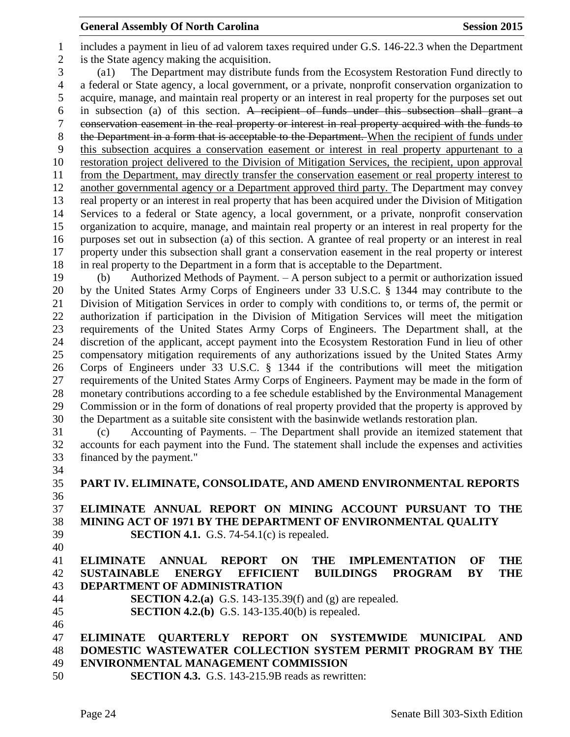includes a payment in lieu of ad valorem taxes required under G.S. 146-22.3 when the Department is the State agency making the acquisition. (a1) The Department may distribute funds from the Ecosystem Restoration Fund directly to a federal or State agency, a local government, or a private, nonprofit conservation organization to acquire, manage, and maintain real property or an interest in real property for the purposes set out in subsection (a) of this section. A recipient of funds under this subsection shall grant a conservation easement in the real property or interest in real property acquired with the funds to 8 the Department in a form that is acceptable to the Department. When the recipient of funds under this subsection acquires a conservation easement or interest in real property appurtenant to a restoration project delivered to the Division of Mitigation Services, the recipient, upon approval from the Department, may directly transfer the conservation easement or real property interest to another governmental agency or a Department approved third party. The Department may convey real property or an interest in real property that has been acquired under the Division of Mitigation Services to a federal or State agency, a local government, or a private, nonprofit conservation organization to acquire, manage, and maintain real property or an interest in real property for the purposes set out in subsection (a) of this section. A grantee of real property or an interest in real property under this subsection shall grant a conservation easement in the real property or interest in real property to the Department in a form that is acceptable to the Department.

 (b) Authorized Methods of Payment. – A person subject to a permit or authorization issued by the United States Army Corps of Engineers under 33 U.S.C. § 1344 may contribute to the Division of Mitigation Services in order to comply with conditions to, or terms of, the permit or authorization if participation in the Division of Mitigation Services will meet the mitigation requirements of the United States Army Corps of Engineers. The Department shall, at the discretion of the applicant, accept payment into the Ecosystem Restoration Fund in lieu of other compensatory mitigation requirements of any authorizations issued by the United States Army Corps of Engineers under 33 U.S.C. § 1344 if the contributions will meet the mitigation requirements of the United States Army Corps of Engineers. Payment may be made in the form of monetary contributions according to a fee schedule established by the Environmental Management Commission or in the form of donations of real property provided that the property is approved by the Department as a suitable site consistent with the basinwide wetlands restoration plan.

 (c) Accounting of Payments. – The Department shall provide an itemized statement that accounts for each payment into the Fund. The statement shall include the expenses and activities financed by the payment."

 **PART IV. ELIMINATE, CONSOLIDATE, AND AMEND ENVIRONMENTAL REPORTS ELIMINATE ANNUAL REPORT ON MINING ACCOUNT PURSUANT TO THE MINING ACT OF 1971 BY THE DEPARTMENT OF ENVIRONMENTAL QUALITY SECTION 4.1.** G.S. 74-54.1(c) is repealed. 

# **ELIMINATE ANNUAL REPORT ON THE IMPLEMENTATION OF THE SUSTAINABLE ENERGY EFFICIENT BUILDINGS PROGRAM BY THE DEPARTMENT OF ADMINISTRATION**

- **SECTION 4.2.(a)** G.S. 143-135.39(f) and (g) are repealed.
- **SECTION 4.2.(b)** G.S. 143-135.40(b) is repealed.

### **ELIMINATE QUARTERLY REPORT ON SYSTEMWIDE MUNICIPAL AND DOMESTIC WASTEWATER COLLECTION SYSTEM PERMIT PROGRAM BY THE ENVIRONMENTAL MANAGEMENT COMMISSION**

**SECTION 4.3.** G.S. 143-215.9B reads as rewritten: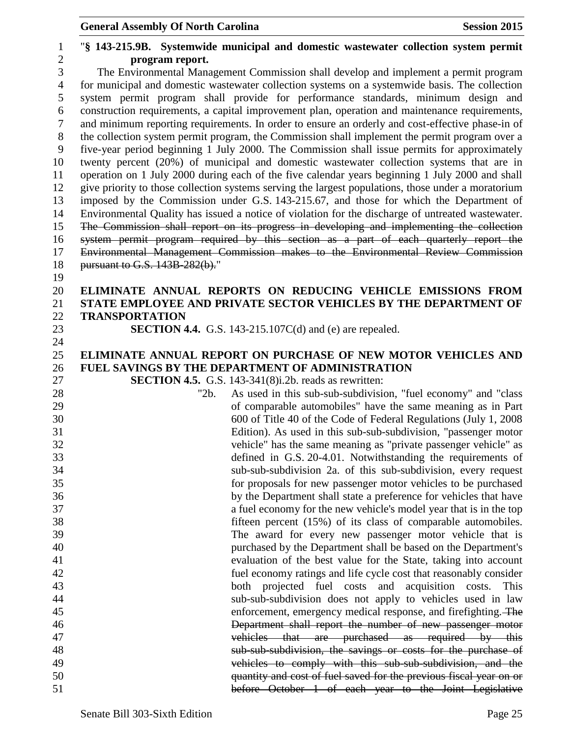## "**§ 143-215.9B. Systemwide municipal and domestic wastewater collection system permit program report.** The Environmental Management Commission shall develop and implement a permit program for municipal and domestic wastewater collection systems on a systemwide basis. The collection system permit program shall provide for performance standards, minimum design and construction requirements, a capital improvement plan, operation and maintenance requirements, and minimum reporting requirements. In order to ensure an orderly and cost-effective phase-in of the collection system permit program, the Commission shall implement the permit program over a five-year period beginning 1 July 2000. The Commission shall issue permits for approximately twenty percent (20%) of municipal and domestic wastewater collection systems that are in operation on 1 July 2000 during each of the five calendar years beginning 1 July 2000 and shall give priority to those collection systems serving the largest populations, those under a moratorium imposed by the Commission under G.S. 143-215.67, and those for which the Department of Environmental Quality has issued a notice of violation for the discharge of untreated wastewater. The Commission shall report on its progress in developing and implementing the collection system permit program required by this section as a part of each quarterly report the Environmental Management Commission makes to the Environmental Review Commission pursuant to G.S. 143B-282(b)." **ELIMINATE ANNUAL REPORTS ON REDUCING VEHICLE EMISSIONS FROM STATE EMPLOYEE AND PRIVATE SECTOR VEHICLES BY THE DEPARTMENT OF TRANSPORTATION SECTION 4.4.** G.S. 143-215.107C(d) and (e) are repealed. **ELIMINATE ANNUAL REPORT ON PURCHASE OF NEW MOTOR VEHICLES AND FUEL SAVINGS BY THE DEPARTMENT OF ADMINISTRATION SECTION 4.5.** G.S. 143-341(8)i.2b. reads as rewritten: "2b. As used in this sub-sub-subdivision, "fuel economy" and "class of comparable automobiles" have the same meaning as in Part 600 of Title 40 of the Code of Federal Regulations (July 1, 2008 Edition). As used in this sub-sub-subdivision, "passenger motor vehicle" has the same meaning as "private passenger vehicle" as defined in G.S. 20-4.01. Notwithstanding the requirements of sub-sub-subdivision 2a. of this sub-subdivision, every request for proposals for new passenger motor vehicles to be purchased by the Department shall state a preference for vehicles that have a fuel economy for the new vehicle's model year that is in the top fifteen percent (15%) of its class of comparable automobiles. The award for every new passenger motor vehicle that is purchased by the Department shall be based on the Department's evaluation of the best value for the State, taking into account fuel economy ratings and life cycle cost that reasonably consider both projected fuel costs and acquisition costs. This sub-sub-subdivision does not apply to vehicles used in law enforcement, emergency medical response, and firefighting. The Department shall report the number of new passenger motor vehicles that are purchased as required by this sub-sub-subdivision, the savings or costs for the purchase of vehicles to comply with this sub-sub-subdivision, and the quantity and cost of fuel saved for the previous fiscal year on or before October 1 of each year to the Joint Legislative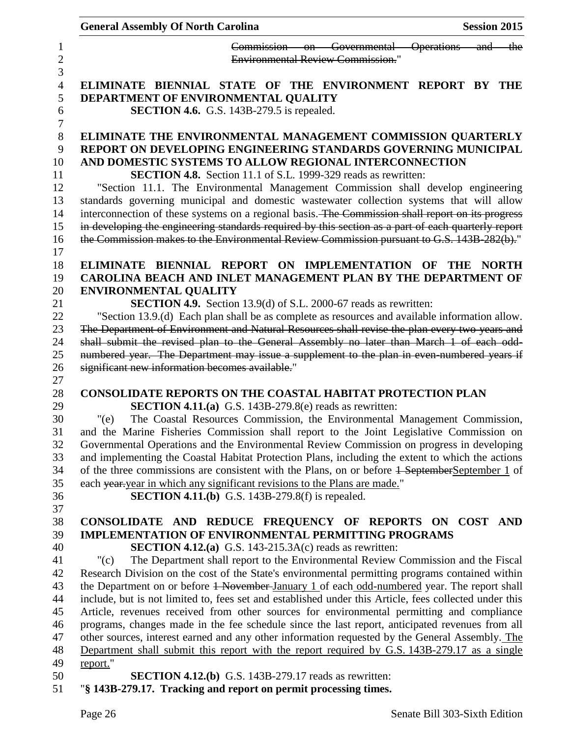|                              | <b>General Assembly Of North Carolina</b>                                 |                                                                                                                                                                                              | <b>Session 2015</b> |              |
|------------------------------|---------------------------------------------------------------------------|----------------------------------------------------------------------------------------------------------------------------------------------------------------------------------------------|---------------------|--------------|
|                              |                                                                           | Commission on Governmental Operations and the                                                                                                                                                |                     |              |
|                              |                                                                           | <b>Environmental Review Commission."</b>                                                                                                                                                     |                     |              |
|                              |                                                                           | ELIMINATE BIENNIAL STATE OF THE ENVIRONMENT REPORT BY THE                                                                                                                                    |                     |              |
|                              | DEPARTMENT OF ENVIRONMENTAL QUALITY                                       |                                                                                                                                                                                              |                     |              |
|                              | <b>SECTION 4.6.</b> G.S. 143B-279.5 is repealed.                          |                                                                                                                                                                                              |                     |              |
|                              |                                                                           |                                                                                                                                                                                              |                     |              |
|                              |                                                                           | ELIMINATE THE ENVIRONMENTAL MANAGEMENT COMMISSION QUARTERLY                                                                                                                                  |                     |              |
|                              |                                                                           | REPORT ON DEVELOPING ENGINEERING STANDARDS GOVERNING MUNICIPAL<br>AND DOMESTIC SYSTEMS TO ALLOW REGIONAL INTERCONNECTION                                                                     |                     |              |
|                              |                                                                           | <b>SECTION 4.8.</b> Section 11.1 of S.L. 1999-329 reads as rewritten:                                                                                                                        |                     |              |
|                              |                                                                           | "Section 11.1. The Environmental Management Commission shall develop engineering                                                                                                             |                     |              |
|                              |                                                                           | standards governing municipal and domestic wastewater collection systems that will allow                                                                                                     |                     |              |
|                              |                                                                           | interconnection of these systems on a regional basis. The Commission shall report on its progress                                                                                            |                     |              |
|                              |                                                                           | in developing the engineering standards required by this section as a part of each quarterly report                                                                                          |                     |              |
|                              |                                                                           | the Commission makes to the Environmental Review Commission pursuant to G.S. 143B-282(b)."                                                                                                   |                     |              |
|                              |                                                                           |                                                                                                                                                                                              |                     |              |
|                              |                                                                           | ELIMINATE BIENNIAL REPORT ON IMPLEMENTATION OF THE                                                                                                                                           |                     | <b>NORTH</b> |
|                              |                                                                           | CAROLINA BEACH AND INLET MANAGEMENT PLAN BY THE DEPARTMENT OF                                                                                                                                |                     |              |
| <b>ENVIRONMENTAL QUALITY</b> |                                                                           |                                                                                                                                                                                              |                     |              |
|                              |                                                                           | <b>SECTION 4.9.</b> Section 13.9(d) of S.L. 2000-67 reads as rewritten:                                                                                                                      |                     |              |
|                              |                                                                           | "Section 13.9.(d) Each plan shall be as complete as resources and available information allow.                                                                                               |                     |              |
|                              |                                                                           | The Department of Environment and Natural Resources shall revise the plan every two years and                                                                                                |                     |              |
|                              |                                                                           | shall submit the revised plan to the General Assembly no later than March 1 of each odd-                                                                                                     |                     |              |
|                              |                                                                           | numbered year. The Department may issue a supplement to the plan in even numbered years if                                                                                                   |                     |              |
|                              | significant new information becomes available."                           |                                                                                                                                                                                              |                     |              |
|                              |                                                                           | <b>CONSOLIDATE REPORTS ON THE COASTAL HABITAT PROTECTION PLAN</b>                                                                                                                            |                     |              |
|                              | <b>SECTION 4.11.(a)</b> G.S. 143B-279.8(e) reads as rewritten:            |                                                                                                                                                                                              |                     |              |
| "(e)                         |                                                                           | The Coastal Resources Commission, the Environmental Management Commission,                                                                                                                   |                     |              |
|                              |                                                                           | and the Marine Fisheries Commission shall report to the Joint Legislative Commission on                                                                                                      |                     |              |
|                              |                                                                           | Governmental Operations and the Environmental Review Commission on progress in developing                                                                                                    |                     |              |
|                              |                                                                           | and implementing the Coastal Habitat Protection Plans, including the extent to which the actions                                                                                             |                     |              |
|                              |                                                                           | of the three commissions are consistent with the Plans, on or before $\frac{1}{1}$ September September 1 of                                                                                  |                     |              |
|                              | each year-year in which any significant revisions to the Plans are made." |                                                                                                                                                                                              |                     |              |
|                              | <b>SECTION 4.11.(b)</b> G.S. 143B-279.8(f) is repealed.                   |                                                                                                                                                                                              |                     |              |
|                              |                                                                           |                                                                                                                                                                                              |                     |              |
|                              |                                                                           | CONSOLIDATE AND REDUCE FREQUENCY OF REPORTS ON COST                                                                                                                                          |                     | AND          |
|                              |                                                                           | <b>IMPLEMENTATION OF ENVIRONMENTAL PERMITTING PROGRAMS</b>                                                                                                                                   |                     |              |
|                              | <b>SECTION 4.12.(a)</b> G.S. 143-215.3A(c) reads as rewritten:            |                                                                                                                                                                                              |                     |              |
| "(c)                         |                                                                           | The Department shall report to the Environmental Review Commission and the Fiscal                                                                                                            |                     |              |
|                              |                                                                           | Research Division on the cost of the State's environmental permitting programs contained within                                                                                              |                     |              |
|                              |                                                                           | the Department on or before 1 November January 1 of each odd-numbered year. The report shall                                                                                                 |                     |              |
|                              |                                                                           | include, but is not limited to, fees set and established under this Article, fees collected under this                                                                                       |                     |              |
|                              |                                                                           | Article, revenues received from other sources for environmental permitting and compliance<br>programs, changes made in the fee schedule since the last report, anticipated revenues from all |                     |              |
|                              |                                                                           | other sources, interest earned and any other information requested by the General Assembly. The                                                                                              |                     |              |
|                              |                                                                           | Department shall submit this report with the report required by G.S. 143B-279.17 as a single                                                                                                 |                     |              |
| report."                     |                                                                           |                                                                                                                                                                                              |                     |              |
|                              | <b>SECTION 4.12.(b)</b> G.S. 143B-279.17 reads as rewritten:              |                                                                                                                                                                                              |                     |              |
|                              | "§ 143B-279.17. Tracking and report on permit processing times.           |                                                                                                                                                                                              |                     |              |
|                              |                                                                           |                                                                                                                                                                                              |                     |              |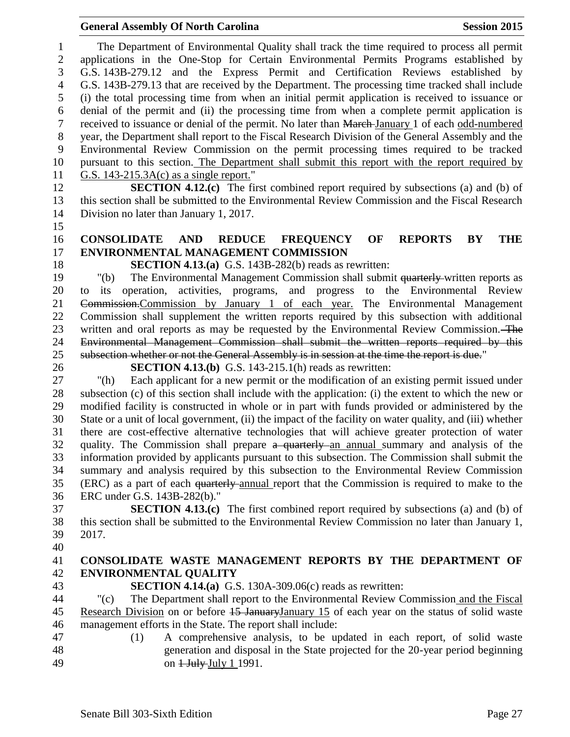The Department of Environmental Quality shall track the time required to process all permit applications in the One-Stop for Certain Environmental Permits Programs established by G.S. 143B-279.12 and the Express Permit and Certification Reviews established by G.S. 143B-279.13 that are received by the Department. The processing time tracked shall include (i) the total processing time from when an initial permit application is received to issuance or denial of the permit and (ii) the processing time from when a complete permit application is received to issuance or denial of the permit. No later than March January 1 of each odd-numbered year, the Department shall report to the Fiscal Research Division of the General Assembly and the Environmental Review Commission on the permit processing times required to be tracked pursuant to this section. The Department shall submit this report with the report required by G.S. 143-215.3A(c) as a single report." **SECTION 4.12.(c)** The first combined report required by subsections (a) and (b) of this section shall be submitted to the Environmental Review Commission and the Fiscal Research Division no later than January 1, 2017. **CONSOLIDATE AND REDUCE FREQUENCY OF REPORTS BY THE ENVIRONMENTAL MANAGEMENT COMMISSION SECTION 4.13.(a)** G.S. 143B-282(b) reads as rewritten: "(b) The Environmental Management Commission shall submit quarterly written reports as to its operation, activities, programs, and progress to the Environmental Review Commission.Commission by January 1 of each year. The Environmental Management Commission shall supplement the written reports required by this subsection with additional written and oral reports as may be requested by the Environmental Review Commission. The Environmental Management Commission shall submit the written reports required by this subsection whether or not the General Assembly is in session at the time the report is due." **SECTION 4.13.(b)** G.S. 143-215.1(h) reads as rewritten: "(h) Each applicant for a new permit or the modification of an existing permit issued under subsection (c) of this section shall include with the application: (i) the extent to which the new or modified facility is constructed in whole or in part with funds provided or administered by the State or a unit of local government, (ii) the impact of the facility on water quality, and (iii) whether there are cost-effective alternative technologies that will achieve greater protection of water 32 quality. The Commission shall prepare a quarterly an annual summary and analysis of the information provided by applicants pursuant to this subsection. The Commission shall submit the summary and analysis required by this subsection to the Environmental Review Commission (ERC) as a part of each quarterly annual report that the Commission is required to make to the ERC under G.S. 143B-282(b)." **SECTION 4.13.(c)** The first combined report required by subsections (a) and (b) of this section shall be submitted to the Environmental Review Commission no later than January 1, 2017. **CONSOLIDATE WASTE MANAGEMENT REPORTS BY THE DEPARTMENT OF ENVIRONMENTAL QUALITY SECTION 4.14.(a)** G.S. 130A-309.06(c) reads as rewritten: "(c) The Department shall report to the Environmental Review Commission and the Fiscal 45 Research Division on or before -January January 15 of each year on the status of solid waste management efforts in the State. The report shall include: (1) A comprehensive analysis, to be updated in each report, of solid waste generation and disposal in the State projected for the 20-year period beginning 49 on  $\frac{1 \text{ July July 1}}{1991}$ .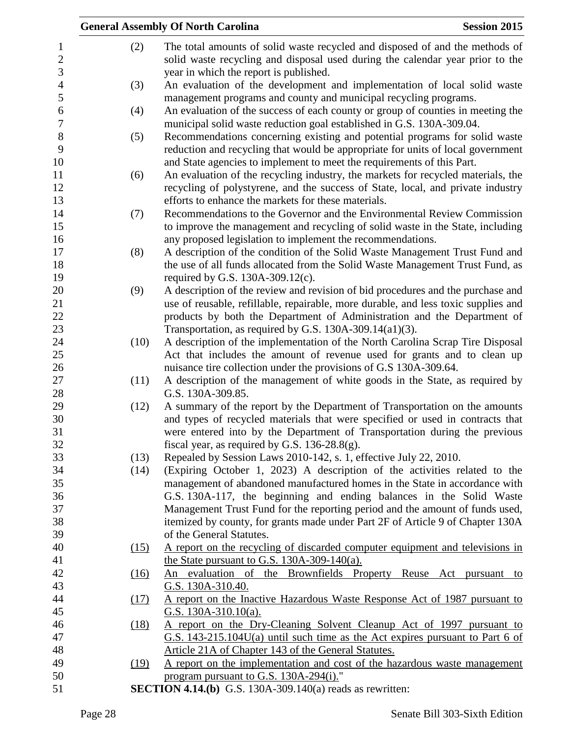|      | <b>General Assembly Of North Carolina</b>                                                                                                                             | <b>Session 2015</b> |
|------|-----------------------------------------------------------------------------------------------------------------------------------------------------------------------|---------------------|
| (2)  | The total amounts of solid waste recycled and disposed of and the methods of                                                                                          |                     |
|      | solid waste recycling and disposal used during the calendar year prior to the                                                                                         |                     |
|      | year in which the report is published.                                                                                                                                |                     |
| (3)  | An evaluation of the development and implementation of local solid waste                                                                                              |                     |
|      | management programs and county and municipal recycling programs.                                                                                                      |                     |
| (4)  | An evaluation of the success of each county or group of counties in meeting the                                                                                       |                     |
|      | municipal solid waste reduction goal established in G.S. 130A-309.04.                                                                                                 |                     |
| (5)  | Recommendations concerning existing and potential programs for solid waste                                                                                            |                     |
|      | reduction and recycling that would be appropriate for units of local government                                                                                       |                     |
|      | and State agencies to implement to meet the requirements of this Part.                                                                                                |                     |
| (6)  | An evaluation of the recycling industry, the markets for recycled materials, the                                                                                      |                     |
|      | recycling of polystyrene, and the success of State, local, and private industry                                                                                       |                     |
|      | efforts to enhance the markets for these materials.                                                                                                                   |                     |
| (7)  | Recommendations to the Governor and the Environmental Review Commission                                                                                               |                     |
|      | to improve the management and recycling of solid waste in the State, including                                                                                        |                     |
|      | any proposed legislation to implement the recommendations.                                                                                                            |                     |
| (8)  | A description of the condition of the Solid Waste Management Trust Fund and                                                                                           |                     |
|      | the use of all funds allocated from the Solid Waste Management Trust Fund, as                                                                                         |                     |
|      | required by G.S. 130A-309.12(c).                                                                                                                                      |                     |
| (9)  | A description of the review and revision of bid procedures and the purchase and<br>use of reusable, refillable, repairable, more durable, and less toxic supplies and |                     |
|      | products by both the Department of Administration and the Department of                                                                                               |                     |
|      | Transportation, as required by G.S. $130A-309.14(a1)(3)$ .                                                                                                            |                     |
| (10) | A description of the implementation of the North Carolina Scrap Tire Disposal                                                                                         |                     |
|      | Act that includes the amount of revenue used for grants and to clean up                                                                                               |                     |
|      | nuisance tire collection under the provisions of G.S 130A-309.64.                                                                                                     |                     |
| (11) | A description of the management of white goods in the State, as required by                                                                                           |                     |
|      | G.S. 130A-309.85.                                                                                                                                                     |                     |
| (12) | A summary of the report by the Department of Transportation on the amounts                                                                                            |                     |
|      | and types of recycled materials that were specified or used in contracts that                                                                                         |                     |
|      | were entered into by the Department of Transportation during the previous                                                                                             |                     |
|      | fiscal year, as required by G.S. $136-28.8(g)$ .                                                                                                                      |                     |
| (13) | Repealed by Session Laws 2010-142, s. 1, effective July 22, 2010.                                                                                                     |                     |
| (14) | (Expiring October 1, 2023) A description of the activities related to the                                                                                             |                     |
|      | management of abandoned manufactured homes in the State in accordance with                                                                                            |                     |
|      | G.S. 130A-117, the beginning and ending balances in the Solid Waste                                                                                                   |                     |
|      | Management Trust Fund for the reporting period and the amount of funds used,                                                                                          |                     |
|      | itemized by county, for grants made under Part 2F of Article 9 of Chapter 130A<br>of the General Statutes.                                                            |                     |
| (15) | A report on the recycling of discarded computer equipment and televisions in                                                                                          |                     |
|      | the State pursuant to G.S. $130A-309-140(a)$ .                                                                                                                        |                     |
| (16) | An evaluation of the Brownfields Property Reuse Act pursuant to                                                                                                       |                     |
|      | G.S. 130A-310.40.                                                                                                                                                     |                     |
| (17) | <u>A report on the Inactive Hazardous Waste Response Act of 1987 pursuant to</u>                                                                                      |                     |
|      | G.S. $130A-310.10(a)$ .                                                                                                                                               |                     |
| (18) | A report on the Dry-Cleaning Solvent Cleanup Act of 1997 pursuant to                                                                                                  |                     |
|      | G.S. 143-215.104U(a) until such time as the Act expires pursuant to Part 6 of                                                                                         |                     |
|      | Article 21A of Chapter 143 of the General Statutes.                                                                                                                   |                     |
| (19) | A report on the implementation and cost of the hazardous waste management                                                                                             |                     |
|      | program pursuant to G.S. 130A-294(i)."                                                                                                                                |                     |
|      | <b>SECTION 4.14.(b)</b> G.S. 130A-309.140(a) reads as rewritten:                                                                                                      |                     |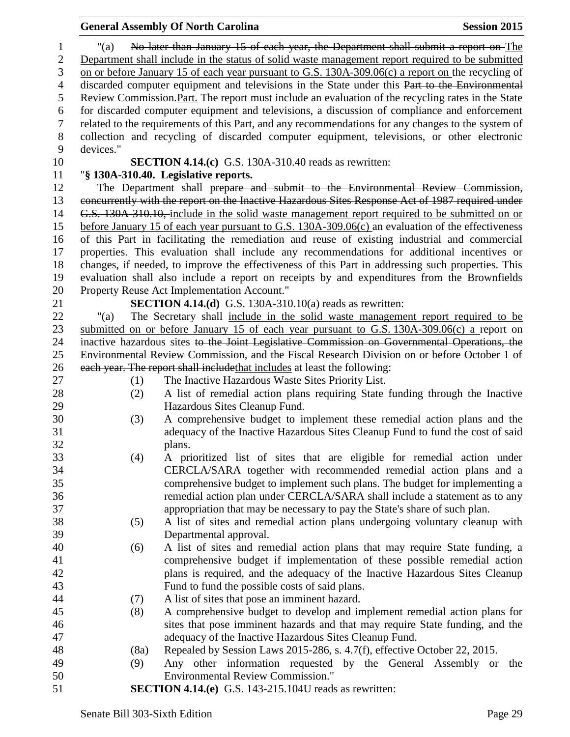|                |            | <b>General Assembly Of North Carolina</b>                                                                                      | <b>Session 2015</b> |
|----------------|------------|--------------------------------------------------------------------------------------------------------------------------------|---------------------|
| $\mathbf{1}$   | "(a)       | No later than January 15 of each year, the Department shall submit a report on The                                             |                     |
| $\overline{2}$ |            | Department shall include in the status of solid waste management report required to be submitted                               |                     |
| 3              |            | on or before January 15 of each year pursuant to G.S. 130A-309.06(c) a report on the recycling of                              |                     |
| 4              |            | discarded computer equipment and televisions in the State under this Part to the Environmental                                 |                     |
| 5              |            | Review Commission. Part. The report must include an evaluation of the recycling rates in the State                             |                     |
| 6              |            | for discarded computer equipment and televisions, a discussion of compliance and enforcement                                   |                     |
| $\tau$         |            | related to the requirements of this Part, and any recommendations for any changes to the system of                             |                     |
| $8\,$          |            | collection and recycling of discarded computer equipment, televisions, or other electronic                                     |                     |
| 9              | devices."  |                                                                                                                                |                     |
| 10             |            | <b>SECTION 4.14.(c)</b> G.S. 130A-310.40 reads as rewritten:                                                                   |                     |
| 11             |            | "§ 130A-310.40. Legislative reports.                                                                                           |                     |
| 12             |            | The Department shall prepare and submit to the Environmental Review Commission,                                                |                     |
| 13             |            | concurrently with the report on the Inactive Hazardous Sites Response Act of 1987 required under                               |                     |
| 14             |            | G.S. 130A 310.10, include in the solid waste management report required to be submitted on or                                  |                     |
| 15             |            | before January 15 of each year pursuant to G.S. $130A-309.06(c)$ an evaluation of the effectiveness                            |                     |
| 16             |            | of this Part in facilitating the remediation and reuse of existing industrial and commercial                                   |                     |
| 17             |            | properties. This evaluation shall include any recommendations for additional incentives or                                     |                     |
| 18             |            | changes, if needed, to improve the effectiveness of this Part in addressing such properties. This                              |                     |
| 19             |            | evaluation shall also include a report on receipts by and expenditures from the Brownfields                                    |                     |
| 20             |            | Property Reuse Act Implementation Account."                                                                                    |                     |
| 21             |            | <b>SECTION 4.14.(d)</b> G.S. 130A-310.10(a) reads as rewritten:                                                                |                     |
| 22             | " $(a)$    | The Secretary shall include in the solid waste management report required to be                                                |                     |
| 23             |            | submitted on or before January 15 of each year pursuant to G.S. $130A-309.06(c)$ a report on                                   |                     |
| 24             |            | inactive hazardous sites to the Joint Legislative Commission on Governmental Operations, the                                   |                     |
| 25             |            | Environmental Review Commission, and the Fiscal Research Division on or before October 1 of                                    |                     |
| 26<br>27       |            | each year. The report shall include that includes at least the following:<br>The Inactive Hazardous Waste Sites Priority List. |                     |
| 28             | (1)<br>(2) | A list of remedial action plans requiring State funding through the Inactive                                                   |                     |
| 29             |            | Hazardous Sites Cleanup Fund.                                                                                                  |                     |
| 30             | (3)        | A comprehensive budget to implement these remedial action plans and the                                                        |                     |
| 31             |            | adequacy of the Inactive Hazardous Sites Cleanup Fund to fund the cost of said                                                 |                     |
| 32             |            | plans.                                                                                                                         |                     |
| 33             | (4)        | A prioritized list of sites that are eligible for remedial action under                                                        |                     |
| 34             |            | CERCLA/SARA together with recommended remedial action plans and a                                                              |                     |
| 35             |            | comprehensive budget to implement such plans. The budget for implementing a                                                    |                     |
| 36             |            | remedial action plan under CERCLA/SARA shall include a statement as to any                                                     |                     |
| 37             |            | appropriation that may be necessary to pay the State's share of such plan.                                                     |                     |
| 38             | (5)        | A list of sites and remedial action plans undergoing voluntary cleanup with                                                    |                     |
| 39             |            | Departmental approval.                                                                                                         |                     |
| 40             | (6)        | A list of sites and remedial action plans that may require State funding, a                                                    |                     |
| 41             |            | comprehensive budget if implementation of these possible remedial action                                                       |                     |
| 42             |            | plans is required, and the adequacy of the Inactive Hazardous Sites Cleanup                                                    |                     |
| 43             |            | Fund to fund the possible costs of said plans.                                                                                 |                     |
| 44             | (7)        | A list of sites that pose an imminent hazard.                                                                                  |                     |
| 45             | (8)        | A comprehensive budget to develop and implement remedial action plans for                                                      |                     |
| 46             |            | sites that pose imminent hazards and that may require State funding, and the                                                   |                     |
| 47             |            | adequacy of the Inactive Hazardous Sites Cleanup Fund.                                                                         |                     |
| 48             | (8a)       | Repealed by Session Laws 2015-286, s. 4.7(f), effective October 22, 2015.                                                      |                     |
| 49<br>50       | (9)        | Any other information requested by the General Assembly or the<br><b>Environmental Review Commission."</b>                     |                     |
| 51             |            | <b>SECTION 4.14.(e)</b> G.S. 143-215.104U reads as rewritten:                                                                  |                     |
|                |            |                                                                                                                                |                     |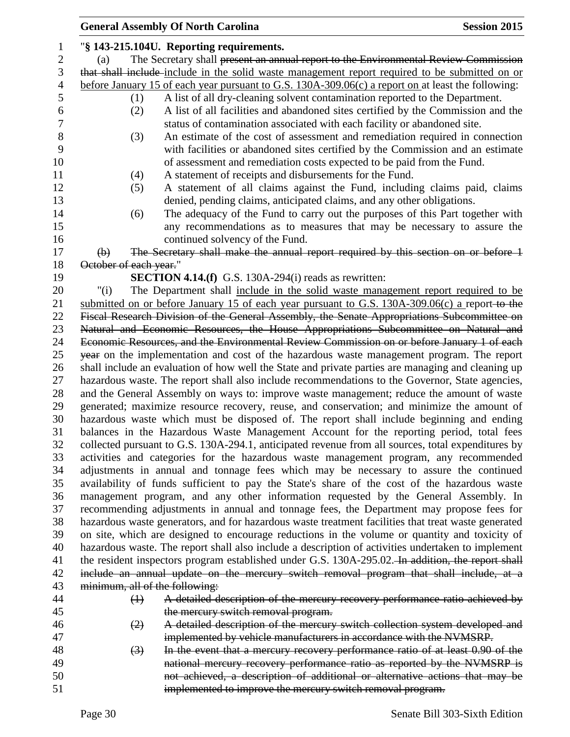|                |                                | <b>General Assembly Of North Carolina</b>                                                            | <b>Session 2015</b> |
|----------------|--------------------------------|------------------------------------------------------------------------------------------------------|---------------------|
| 1              |                                | "§ 143-215.104U. Reporting requirements.                                                             |                     |
| $\mathbf{2}$   | (a)                            | The Secretary shall present an annual report to the Environmental Review Commission                  |                     |
| 3              |                                | that shall include-include in the solid waste management report required to be submitted on or       |                     |
| $\overline{4}$ |                                | before January 15 of each year pursuant to G.S. $130A-309.06(c)$ a report on at least the following: |                     |
| 5              | (1)                            | A list of all dry-cleaning solvent contamination reported to the Department.                         |                     |
| 6              | (2)                            | A list of all facilities and abandoned sites certified by the Commission and the                     |                     |
| $\tau$         |                                | status of contamination associated with each facility or abandoned site.                             |                     |
| 8              | (3)                            | An estimate of the cost of assessment and remediation required in connection                         |                     |
| 9              |                                | with facilities or abandoned sites certified by the Commission and an estimate                       |                     |
| 10             |                                | of assessment and remediation costs expected to be paid from the Fund.                               |                     |
| 11             | (4)                            | A statement of receipts and disbursements for the Fund.                                              |                     |
| 12             | (5)                            | A statement of all claims against the Fund, including claims paid, claims                            |                     |
| 13             |                                | denied, pending claims, anticipated claims, and any other obligations.                               |                     |
| 14             | (6)                            | The adequacy of the Fund to carry out the purposes of this Part together with                        |                     |
| 15             |                                | any recommendations as to measures that may be necessary to assure the                               |                     |
| 16             |                                | continued solvency of the Fund.                                                                      |                     |
| 17             | $\Theta$                       | The Secretary shall make the annual report required by this section on or before 1                   |                     |
| 18             | October of each year."         |                                                                                                      |                     |
| 19             |                                | <b>SECTION 4.14.(f)</b> G.S. 130A-294(i) reads as rewritten:                                         |                     |
| 20             | " $(i)$                        | The Department shall include in the solid waste management report required to be                     |                     |
| 21             |                                | submitted on or before January 15 of each year pursuant to G.S. 130A-309.06(c) a report-to-the       |                     |
| 22             |                                | Fiscal Research Division of the General Assembly, the Senate Appropriations Subcommittee on          |                     |
| 23             |                                | Natural and Economic Resources, the House Appropriations Subcommittee on Natural and                 |                     |
| 24             |                                | Economic Resources, and the Environmental Review Commission on or before January 1 of each           |                     |
| 25             |                                | year on the implementation and cost of the hazardous waste management program. The report            |                     |
| 26             |                                | shall include an evaluation of how well the State and private parties are managing and cleaning up   |                     |
| 27             |                                | hazardous waste. The report shall also include recommendations to the Governor, State agencies,      |                     |
| 28             |                                | and the General Assembly on ways to: improve waste management; reduce the amount of waste            |                     |
| 29             |                                | generated; maximize resource recovery, reuse, and conservation; and minimize the amount of           |                     |
| 30             |                                | hazardous waste which must be disposed of. The report shall include beginning and ending             |                     |
| 31             |                                | balances in the Hazardous Waste Management Account for the reporting period, total fees              |                     |
| 32             |                                | collected pursuant to G.S. 130A-294.1, anticipated revenue from all sources, total expenditures by   |                     |
| 33             |                                | activities and categories for the hazardous waste management program, any recommended                |                     |
| 34             |                                | adjustments in annual and tonnage fees which may be necessary to assure the continued                |                     |
| 35             |                                | availability of funds sufficient to pay the State's share of the cost of the hazardous waste         |                     |
| 36             |                                | management program, and any other information requested by the General Assembly. In                  |                     |
| 37             |                                | recommending adjustments in annual and tonnage fees, the Department may propose fees for             |                     |
| 38             |                                | hazardous waste generators, and for hazardous waste treatment facilities that treat waste generated  |                     |
| 39             |                                | on site, which are designed to encourage reductions in the volume or quantity and toxicity of        |                     |
| 40             |                                | hazardous waste. The report shall also include a description of activities undertaken to implement   |                     |
| 41             |                                | the resident inspectors program established under G.S. 130A-295.02. In addition, the report shall    |                     |
| 42             |                                | include an annual update on the mercury switch removal program that shall include, at a              |                     |
| 43             | minimum, all of the following: |                                                                                                      |                     |
| 44             | $\leftrightarrow$              | A detailed description of the mercury recovery performance ratio achieved by                         |                     |
| 45             |                                | the mercury switch removal program.                                                                  |                     |
| 46             | (2)                            | A detailed description of the mercury switch collection system developed and                         |                     |
| 47             |                                | implemented by vehicle manufacturers in accordance with the NVMSRP.                                  |                     |
| 48             | $\left(3\right)$               | In the event that a mercury recovery performance ratio of at least 0.90 of the                       |                     |
| 49<br>50       |                                | national mercury recovery performance ratio as reported by the NVMSRP is                             |                     |
| 51             |                                | not achieved, a description of additional or alternative actions that may be                         |                     |
|                |                                | implemented to improve the mercury switch removal program.                                           |                     |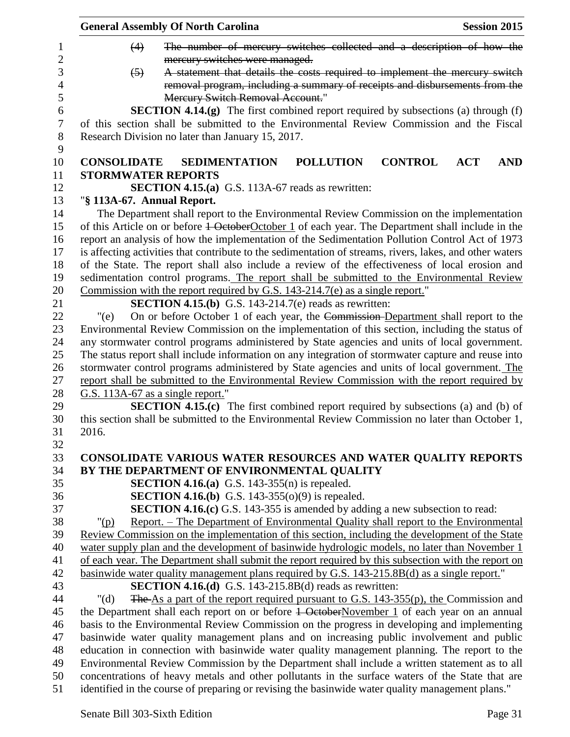|                            | <b>General Assembly Of North Carolina</b>                                                                                                                                                  |                  | <b>Session 2015</b>                                                         |            |
|----------------------------|--------------------------------------------------------------------------------------------------------------------------------------------------------------------------------------------|------------------|-----------------------------------------------------------------------------|------------|
| (4)                        |                                                                                                                                                                                            |                  | The number of mercury switches collected and a description of how the       |            |
|                            | mercury switches were managed.                                                                                                                                                             |                  |                                                                             |            |
| $(5)$                      |                                                                                                                                                                                            |                  | A statement that details the costs required to implement the mercury switch |            |
|                            |                                                                                                                                                                                            |                  | removal program, including a summary of receipts and disbursements from the |            |
|                            | <b>Mercury Switch Removal Account."</b>                                                                                                                                                    |                  |                                                                             |            |
|                            | <b>SECTION 4.14.(g)</b> The first combined report required by subsections (a) through (f)                                                                                                  |                  |                                                                             |            |
|                            | of this section shall be submitted to the Environmental Review Commission and the Fiscal                                                                                                   |                  |                                                                             |            |
|                            | Research Division no later than January 15, 2017.                                                                                                                                          |                  |                                                                             |            |
|                            |                                                                                                                                                                                            |                  |                                                                             |            |
|                            | <b>CONSOLIDATE SEDIMENTATION</b>                                                                                                                                                           | <b>POLLUTION</b> | <b>CONTROL</b><br><b>ACT</b>                                                | <b>AND</b> |
|                            | <b>STORMWATER REPORTS</b>                                                                                                                                                                  |                  |                                                                             |            |
|                            | <b>SECTION 4.15.(a)</b> G.S. 113A-67 reads as rewritten:                                                                                                                                   |                  |                                                                             |            |
| "§ 113A-67. Annual Report. |                                                                                                                                                                                            |                  |                                                                             |            |
|                            | The Department shall report to the Environmental Review Commission on the implementation                                                                                                   |                  |                                                                             |            |
|                            | of this Article on or before 1 OctoberOctober 1 of each year. The Department shall include in the                                                                                          |                  |                                                                             |            |
|                            | report an analysis of how the implementation of the Sedimentation Pollution Control Act of 1973                                                                                            |                  |                                                                             |            |
|                            | is affecting activities that contribute to the sedimentation of streams, rivers, lakes, and other waters                                                                                   |                  |                                                                             |            |
|                            | of the State. The report shall also include a review of the effectiveness of local erosion and                                                                                             |                  |                                                                             |            |
|                            | sedimentation control programs. The report shall be submitted to the Environmental Review                                                                                                  |                  |                                                                             |            |
|                            | Commission with the report required by G.S. $143-214.7$ (e) as a single report."                                                                                                           |                  |                                                                             |            |
|                            | <b>SECTION 4.15.(b)</b> G.S. 143-214.7(e) reads as rewritten:                                                                                                                              |                  |                                                                             |            |
| " $(e)$                    | On or before October 1 of each year, the Commission-Department shall report to the                                                                                                         |                  |                                                                             |            |
|                            | Environmental Review Commission on the implementation of this section, including the status of                                                                                             |                  |                                                                             |            |
|                            | any stormwater control programs administered by State agencies and units of local government.                                                                                              |                  |                                                                             |            |
|                            | The status report shall include information on any integration of stormwater capture and reuse into                                                                                        |                  |                                                                             |            |
|                            | stormwater control programs administered by State agencies and units of local government. The                                                                                              |                  |                                                                             |            |
|                            | report shall be submitted to the Environmental Review Commission with the report required by                                                                                               |                  |                                                                             |            |
|                            | G.S. 113A-67 as a single report."                                                                                                                                                          |                  |                                                                             |            |
|                            | <b>SECTION 4.15.(c)</b> The first combined report required by subsections (a) and (b) of                                                                                                   |                  |                                                                             |            |
|                            | this section shall be submitted to the Environmental Review Commission no later than October 1,                                                                                            |                  |                                                                             |            |
| 2016.                      |                                                                                                                                                                                            |                  |                                                                             |            |
|                            |                                                                                                                                                                                            |                  |                                                                             |            |
|                            | CONSOLIDATE VARIOUS WATER RESOURCES AND WATER QUALITY REPORTS                                                                                                                              |                  |                                                                             |            |
|                            | BY THE DEPARTMENT OF ENVIRONMENTAL QUALITY                                                                                                                                                 |                  |                                                                             |            |
|                            | <b>SECTION 4.16.(a)</b> G.S. 143-355(n) is repealed.                                                                                                                                       |                  |                                                                             |            |
|                            | <b>SECTION 4.16.(b)</b> G.S. 143-355(o)(9) is repealed.                                                                                                                                    |                  |                                                                             |            |
|                            | <b>SECTION 4.16.(c)</b> G.S. 143-355 is amended by adding a new subsection to read:                                                                                                        |                  |                                                                             |            |
| $"(\mathsf{p})$            | Report. – The Department of Environmental Quality shall report to the Environmental                                                                                                        |                  |                                                                             |            |
|                            | Review Commission on the implementation of this section, including the development of the State                                                                                            |                  |                                                                             |            |
|                            | water supply plan and the development of basinwide hydrologic models, no later than November 1                                                                                             |                  |                                                                             |            |
|                            | of each year. The Department shall submit the report required by this subsection with the report on                                                                                        |                  |                                                                             |            |
|                            | basinwide water quality management plans required by G.S. 143-215.8B(d) as a single report."                                                                                               |                  |                                                                             |            |
|                            | SECTION 4.16.(d) G.S. 143-215.8B(d) reads as rewritten:                                                                                                                                    |                  |                                                                             |            |
| " $(d)$                    | The As a part of the report required pursuant to G.S. 143-355(p), the Commission and                                                                                                       |                  |                                                                             |            |
|                            |                                                                                                                                                                                            |                  |                                                                             |            |
|                            | the Department shall each report on or before 1 OctoberNovember 1 of each year on an annual<br>basis to the Environmental Review Commission on the progress in developing and implementing |                  |                                                                             |            |
|                            |                                                                                                                                                                                            |                  |                                                                             |            |
|                            | basinwide water quality management plans and on increasing public involvement and public                                                                                                   |                  |                                                                             |            |
|                            | education in connection with basinwide water quality management planning. The report to the                                                                                                |                  |                                                                             |            |
|                            | Environmental Review Commission by the Department shall include a written statement as to all                                                                                              |                  |                                                                             |            |
|                            | concentrations of heavy metals and other pollutants in the surface waters of the State that are                                                                                            |                  |                                                                             |            |
|                            | identified in the course of preparing or revising the basinwide water quality management plans."                                                                                           |                  |                                                                             |            |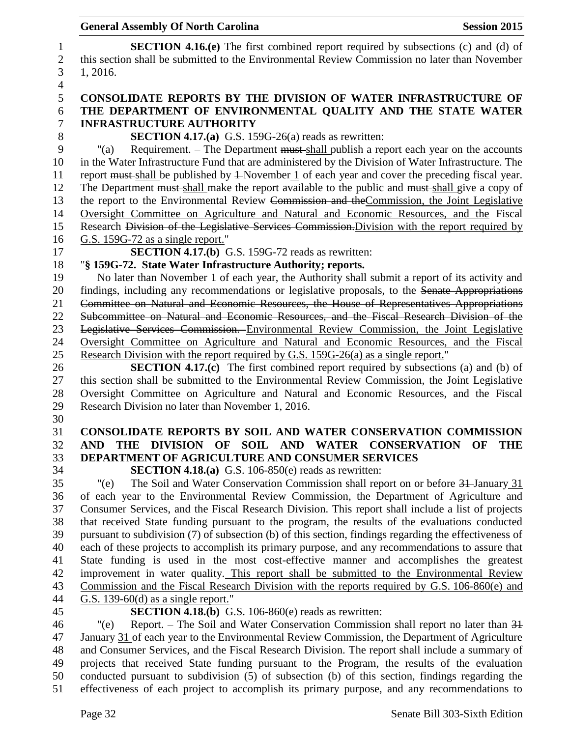**SECTION 4.16.(e)** The first combined report required by subsections (c) and (d) of this section shall be submitted to the Environmental Review Commission no later than November 1, 2016. **CONSOLIDATE REPORTS BY THE DIVISION OF WATER INFRASTRUCTURE OF THE DEPARTMENT OF ENVIRONMENTAL QUALITY AND THE STATE WATER INFRASTRUCTURE AUTHORITY SECTION 4.17.(a)** G.S. 159G-26(a) reads as rewritten: "(a) Requirement. – The Department must shall publish a report each year on the accounts in the Water Infrastructure Fund that are administered by the Division of Water Infrastructure. The report must shall be published by 1 November 1 of each year and cover the preceding fiscal year. 12 The Department must-shall make the report available to the public and must-shall give a copy of 13 the report to the Environmental Review Commission and the Commission, the Joint Legislative Oversight Committee on Agriculture and Natural and Economic Resources, and the Fiscal Research Division of the Legislative Services Commission.Division with the report required by G.S. 159G-72 as a single report." **SECTION 4.17.(b)** G.S. 159G-72 reads as rewritten: "**§ 159G-72. State Water Infrastructure Authority; reports.** No later than November 1 of each year, the Authority shall submit a report of its activity and 20 findings, including any recommendations or legislative proposals, to the Senate Appropriations Committee on Natural and Economic Resources, the House of Representatives Appropriations Subcommittee on Natural and Economic Resources, and the Fiscal Research Division of the Legislative Services Commission. Environmental Review Commission, the Joint Legislative Oversight Committee on Agriculture and Natural and Economic Resources, and the Fiscal Research Division with the report required by G.S. 159G-26(a) as a single report." **SECTION 4.17.(c)** The first combined report required by subsections (a) and (b) of this section shall be submitted to the Environmental Review Commission, the Joint Legislative Oversight Committee on Agriculture and Natural and Economic Resources, and the Fiscal Research Division no later than November 1, 2016. **CONSOLIDATE REPORTS BY SOIL AND WATER CONSERVATION COMMISSION AND THE DIVISION OF SOIL AND WATER CONSERVATION OF THE DEPARTMENT OF AGRICULTURE AND CONSUMER SERVICES SECTION 4.18.(a)** G.S. 106-850(e) reads as rewritten: "(e) The Soil and Water Conservation Commission shall report on or before 31 January 31 of each year to the Environmental Review Commission, the Department of Agriculture and Consumer Services, and the Fiscal Research Division. This report shall include a list of projects that received State funding pursuant to the program, the results of the evaluations conducted pursuant to subdivision (7) of subsection (b) of this section, findings regarding the effectiveness of each of these projects to accomplish its primary purpose, and any recommendations to assure that State funding is used in the most cost-effective manner and accomplishes the greatest improvement in water quality. This report shall be submitted to the Environmental Review Commission and the Fiscal Research Division with the reports required by G.S. 106-860(e) and G.S. 139-60(d) as a single report." **SECTION 4.18.(b)** G.S. 106-860(e) reads as rewritten: "(e) Report. – The Soil and Water Conservation Commission shall report no later than 31 January 31 of each year to the Environmental Review Commission, the Department of Agriculture and Consumer Services, and the Fiscal Research Division. The report shall include a summary of projects that received State funding pursuant to the Program, the results of the evaluation conducted pursuant to subdivision (5) of subsection (b) of this section, findings regarding the

effectiveness of each project to accomplish its primary purpose, and any recommendations to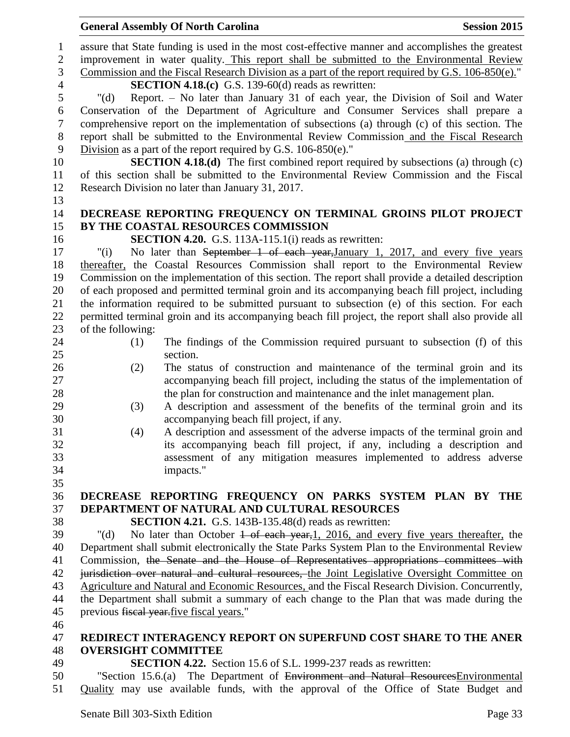|                | <b>General Assembly Of North Carolina</b><br><b>Session 2015</b>                                           |
|----------------|------------------------------------------------------------------------------------------------------------|
| $\mathbf{1}$   | assure that State funding is used in the most cost-effective manner and accomplishes the greatest          |
| $\overline{2}$ | improvement in water quality. This report shall be submitted to the Environmental Review                   |
| 3              | Commission and the Fiscal Research Division as a part of the report required by G.S. 106-850(e)."          |
| $\overline{4}$ | <b>SECTION 4.18.(c)</b> G.S. 139-60(d) reads as rewritten:                                                 |
| 5              | Report. - No later than January 31 of each year, the Division of Soil and Water<br>" $(d)$                 |
| 6              | Conservation of the Department of Agriculture and Consumer Services shall prepare a                        |
| $\tau$         | comprehensive report on the implementation of subsections (a) through (c) of this section. The             |
| $8\,$          | report shall be submitted to the Environmental Review Commission and the Fiscal Research                   |
| 9              | Division as a part of the report required by G.S. $106-850(e)$ ."                                          |
| 10             | <b>SECTION 4.18.(d)</b> The first combined report required by subsections (a) through (c)                  |
| 11             | of this section shall be submitted to the Environmental Review Commission and the Fiscal                   |
| 12             | Research Division no later than January 31, 2017.                                                          |
| 13             |                                                                                                            |
| 14             | DECREASE REPORTING FREQUENCY ON TERMINAL GROINS PILOT PROJECT                                              |
| 15             | BY THE COASTAL RESOURCES COMMISSION                                                                        |
| 16             | <b>SECTION 4.20.</b> G.S. 113A-115.1(i) reads as rewritten:                                                |
| 17             | No later than September 1 of each year, January 1, 2017, and every five years<br>"(i)                      |
| 18             | thereafter, the Coastal Resources Commission shall report to the Environmental Review                      |
| 19             | Commission on the implementation of this section. The report shall provide a detailed description          |
| 20             | of each proposed and permitted terminal groin and its accompanying beach fill project, including           |
| 21             | the information required to be submitted pursuant to subsection (e) of this section. For each              |
| 22             | permitted terminal groin and its accompanying beach fill project, the report shall also provide all        |
| 23             | of the following:                                                                                          |
| 24             | The findings of the Commission required pursuant to subsection (f) of this<br>(1)                          |
| 25             | section.                                                                                                   |
| 26             | The status of construction and maintenance of the terminal groin and its<br>(2)                            |
| 27             | accompanying beach fill project, including the status of the implementation of                             |
| 28             | the plan for construction and maintenance and the inlet management plan.                                   |
| 29             | A description and assessment of the benefits of the terminal groin and its<br>(3)                          |
| 30             | accompanying beach fill project, if any.                                                                   |
| 31             | A description and assessment of the adverse impacts of the terminal groin and<br>(4)                       |
| 32             | its accompanying beach fill project, if any, including a description and                                   |
| 33             | assessment of any mitigation measures implemented to address adverse                                       |
| 34             | impacts."                                                                                                  |
| 35             |                                                                                                            |
| 36             | DECREASE REPORTING FREQUENCY ON PARKS SYSTEM PLAN BY THE                                                   |
| 37             | DEPARTMENT OF NATURAL AND CULTURAL RESOURCES                                                               |
| 38             | SECTION 4.21. G.S. 143B-135.48(d) reads as rewritten:                                                      |
| 39             | No later than October $\frac{1}{1}$ of each year, 1, 2016, and every five years thereafter, the<br>" $(d)$ |
| 40             | Department shall submit electronically the State Parks System Plan to the Environmental Review             |
| 41             | Commission, the Senate and the House of Representatives appropriations committees with                     |
| 42             | jurisdiction over natural and cultural resources, the Joint Legislative Oversight Committee on             |
| 43             | Agriculture and Natural and Economic Resources, and the Fiscal Research Division. Concurrently,            |
| 44             | the Department shall submit a summary of each change to the Plan that was made during the                  |
| 45             | previous fiscal year five fiscal years."                                                                   |
| 46             |                                                                                                            |
| 47             | REDIRECT INTERAGENCY REPORT ON SUPERFUND COST SHARE TO THE ANER                                            |
| 48             | <b>OVERSIGHT COMMITTEE</b>                                                                                 |
| 49             | <b>SECTION 4.22.</b> Section 15.6 of S.L. 1999-237 reads as rewritten:                                     |
| 50             | "Section 15.6.(a) The Department of Environment and Natural Resources Environmental                        |
| 51             | Quality may use available funds, with the approval of the Office of State Budget and                       |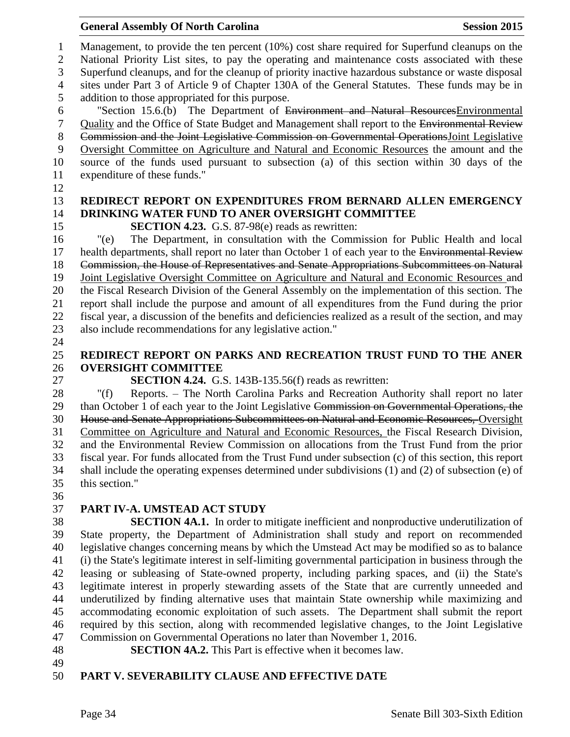Management, to provide the ten percent (10%) cost share required for Superfund cleanups on the National Priority List sites, to pay the operating and maintenance costs associated with these Superfund cleanups, and for the cleanup of priority inactive hazardous substance or waste disposal sites under Part 3 of Article 9 of Chapter 130A of the General Statutes. These funds may be in addition to those appropriated for this purpose. "Section 15.6.(b) The Department of Environment and Natural ResourcesEnvironmental Quality and the Office of State Budget and Management shall report to the Environmental Review Commission and the Joint Legislative Commission on Governmental OperationsJoint Legislative Oversight Committee on Agriculture and Natural and Economic Resources the amount and the source of the funds used pursuant to subsection (a) of this section within 30 days of the expenditure of these funds." **REDIRECT REPORT ON EXPENDITURES FROM BERNARD ALLEN EMERGENCY DRINKING WATER FUND TO ANER OVERSIGHT COMMITTEE SECTION 4.23.** G.S. 87-98(e) reads as rewritten: "(e) The Department, in consultation with the Commission for Public Health and local 17 health departments, shall report no later than October 1 of each year to the Environmental Review Commission, the House of Representatives and Senate Appropriations Subcommittees on Natural Joint Legislative Oversight Committee on Agriculture and Natural and Economic Resources and the Fiscal Research Division of the General Assembly on the implementation of this section. The report shall include the purpose and amount of all expenditures from the Fund during the prior fiscal year, a discussion of the benefits and deficiencies realized as a result of the section, and may also include recommendations for any legislative action." **REDIRECT REPORT ON PARKS AND RECREATION TRUST FUND TO THE ANER OVERSIGHT COMMITTEE SECTION 4.24.** G.S. 143B-135.56(f) reads as rewritten: "(f) Reports. – The North Carolina Parks and Recreation Authority shall report no later 29 than October 1 of each year to the Joint Legislative Commission on Governmental Operations, the House and Senate Appropriations Subcommittees on Natural and Economic Resources, Oversight Committee on Agriculture and Natural and Economic Resources, the Fiscal Research Division, and the Environmental Review Commission on allocations from the Trust Fund from the prior fiscal year. For funds allocated from the Trust Fund under subsection (c) of this section, this report

 this section." 

## **PART IV-A. UMSTEAD ACT STUDY**

 **SECTION 4A.1.** In order to mitigate inefficient and nonproductive underutilization of State property, the Department of Administration shall study and report on recommended legislative changes concerning means by which the Umstead Act may be modified so as to balance (i) the State's legitimate interest in self-limiting governmental participation in business through the leasing or subleasing of State-owned property, including parking spaces, and (ii) the State's legitimate interest in properly stewarding assets of the State that are currently unneeded and underutilized by finding alternative uses that maintain State ownership while maximizing and accommodating economic exploitation of such assets. The Department shall submit the report required by this section, along with recommended legislative changes, to the Joint Legislative Commission on Governmental Operations no later than November 1, 2016.

shall include the operating expenses determined under subdivisions (1) and (2) of subsection (e) of

**SECTION 4A.2.** This Part is effective when it becomes law.

## 

## **PART V. SEVERABILITY CLAUSE AND EFFECTIVE DATE**